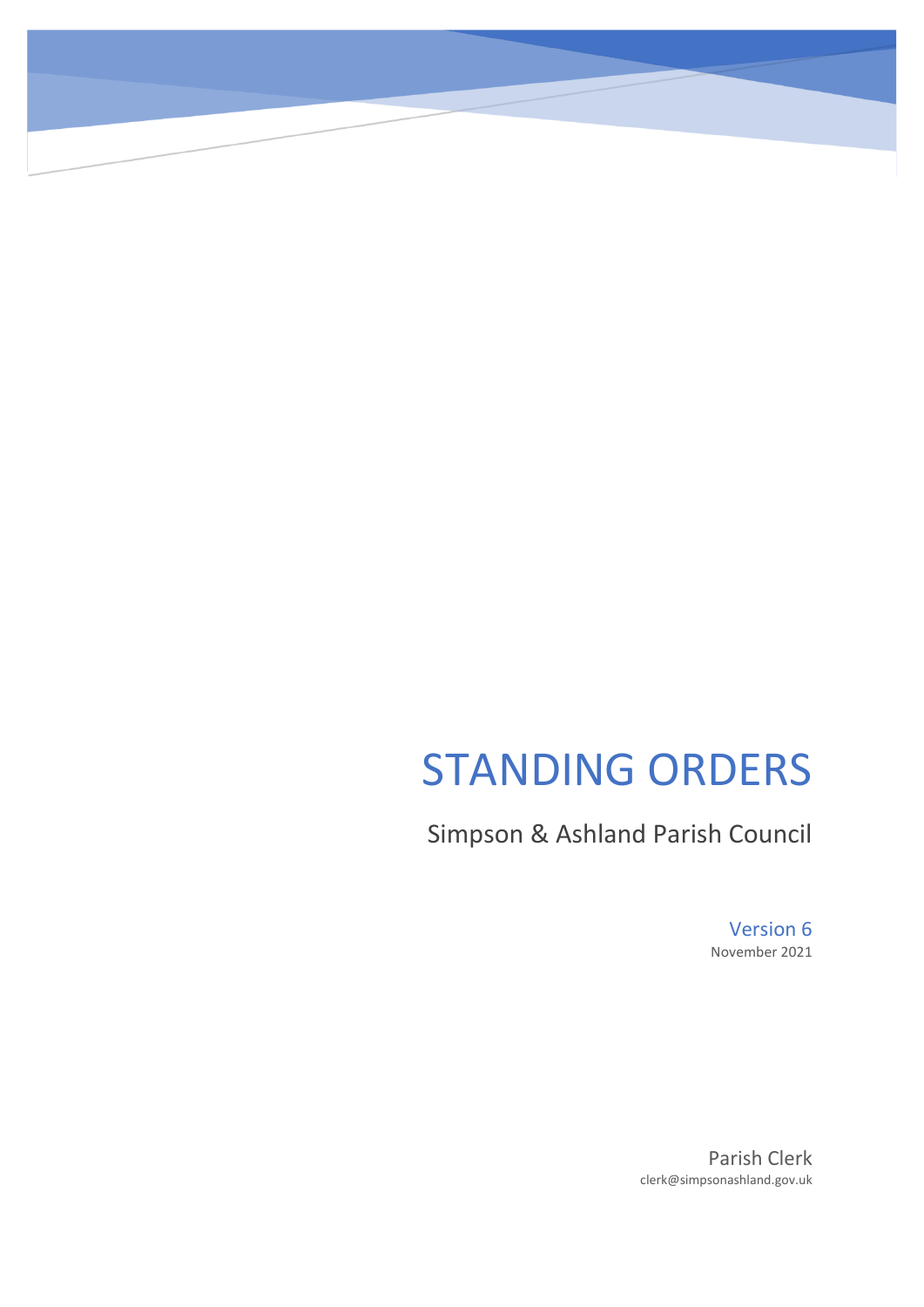# STANDING ORDERS

Simpson & Ashland Parish Council

Version 6 November 2021

Parish Clerk clerk@simpsonashland.gov.uk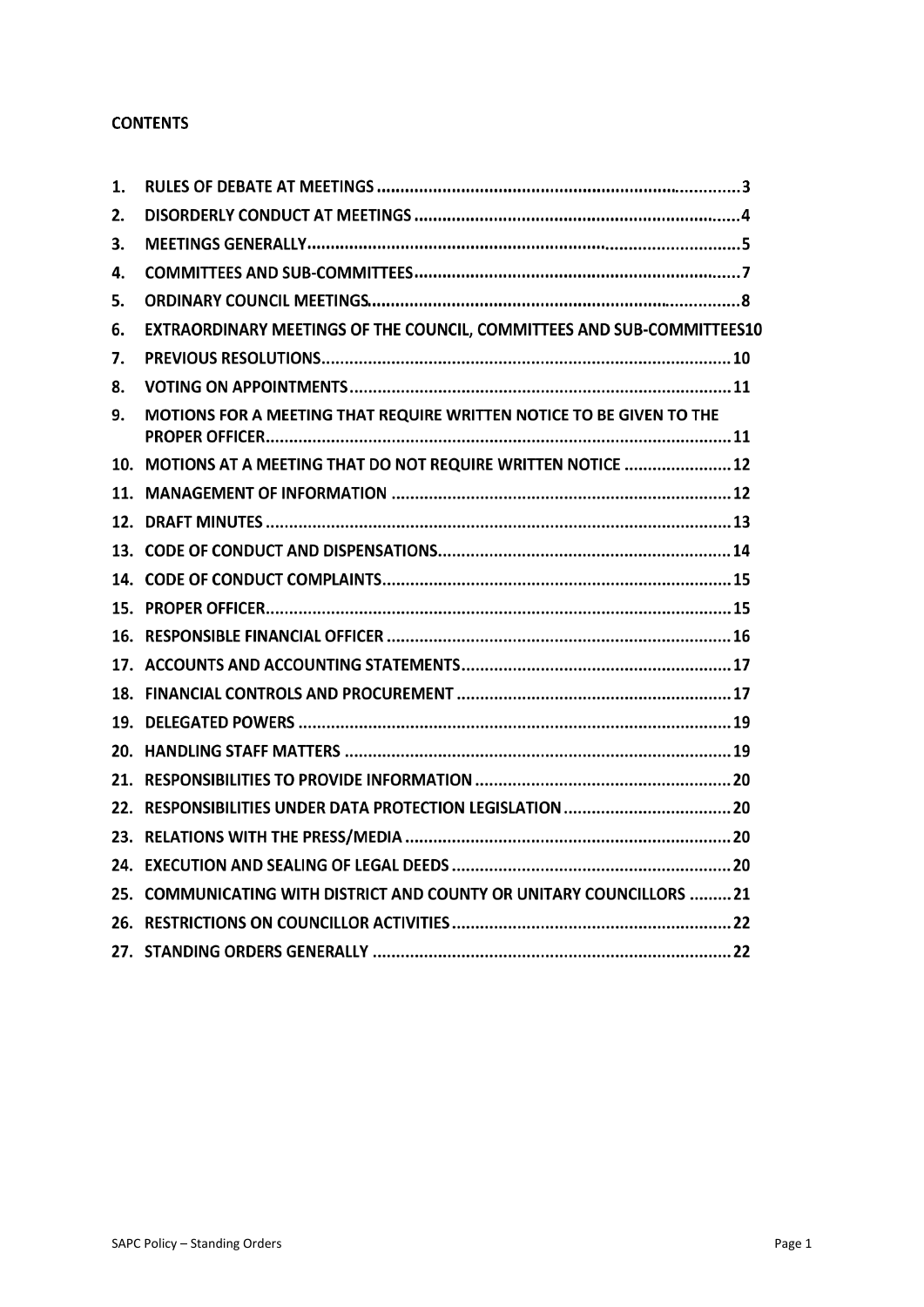### **CONTENTS**

| 1. |                                                                        |
|----|------------------------------------------------------------------------|
| 2. |                                                                        |
| 3. |                                                                        |
| 4. |                                                                        |
| 5. |                                                                        |
| 6. | EXTRAORDINARY MEETINGS OF THE COUNCIL, COMMITTEES AND SUB-COMMITTEES10 |
| 7. |                                                                        |
| 8. |                                                                        |
| 9. | MOTIONS FOR A MEETING THAT REQUIRE WRITTEN NOTICE TO BE GIVEN TO THE   |
|    | 10. MOTIONS AT A MEETING THAT DO NOT REQUIRE WRITTEN NOTICE  12        |
|    |                                                                        |
|    |                                                                        |
|    |                                                                        |
|    |                                                                        |
|    |                                                                        |
|    |                                                                        |
|    |                                                                        |
|    |                                                                        |
|    |                                                                        |
|    |                                                                        |
|    |                                                                        |
|    |                                                                        |
|    |                                                                        |
|    |                                                                        |
|    | 25. COMMUNICATING WITH DISTRICT AND COUNTY OR UNITARY COUNCILLORS 21   |
|    |                                                                        |
|    |                                                                        |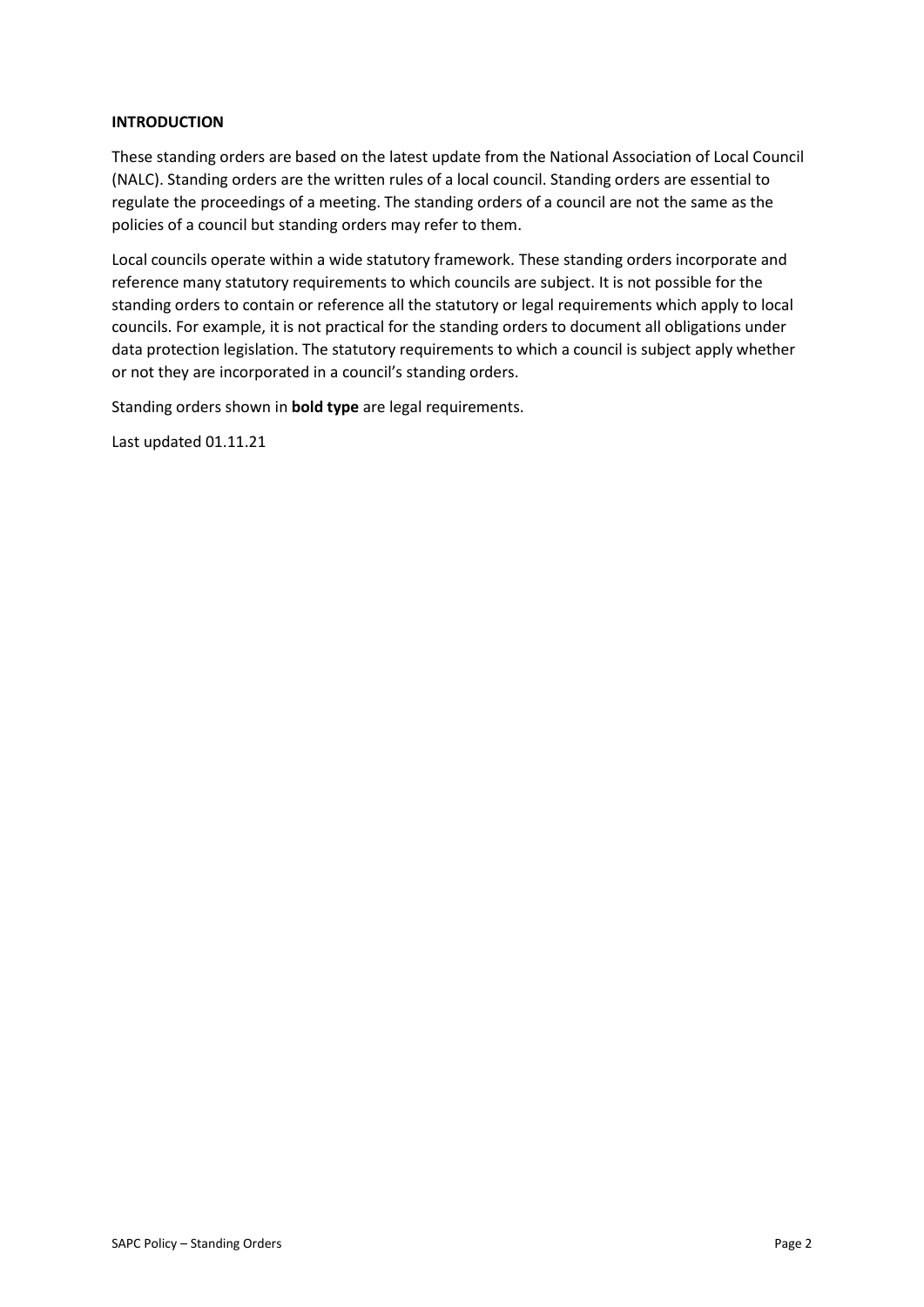### **INTRODUCTION**

These standing orders are based on the latest update from the National Association of Local Council (NALC). Standing orders are the written rules of a local council. Standing orders are essential to regulate the proceedings of a meeting. The standing orders of a council are not the same as the policies of a council but standing orders may refer to them.

Local councils operate within a wide statutory framework. These standing orders incorporate and reference many statutory requirements to which councils are subject. It is not possible for the standing orders to contain or reference all the statutory or legal requirements which apply to local councils. For example, it is not practical for the standing orders to document all obligations under data protection legislation. The statutory requirements to which a council is subject apply whether or not they are incorporated in a council's standing orders.

Standing orders shown in **bold type** are legal requirements.

Last updated 01.11.21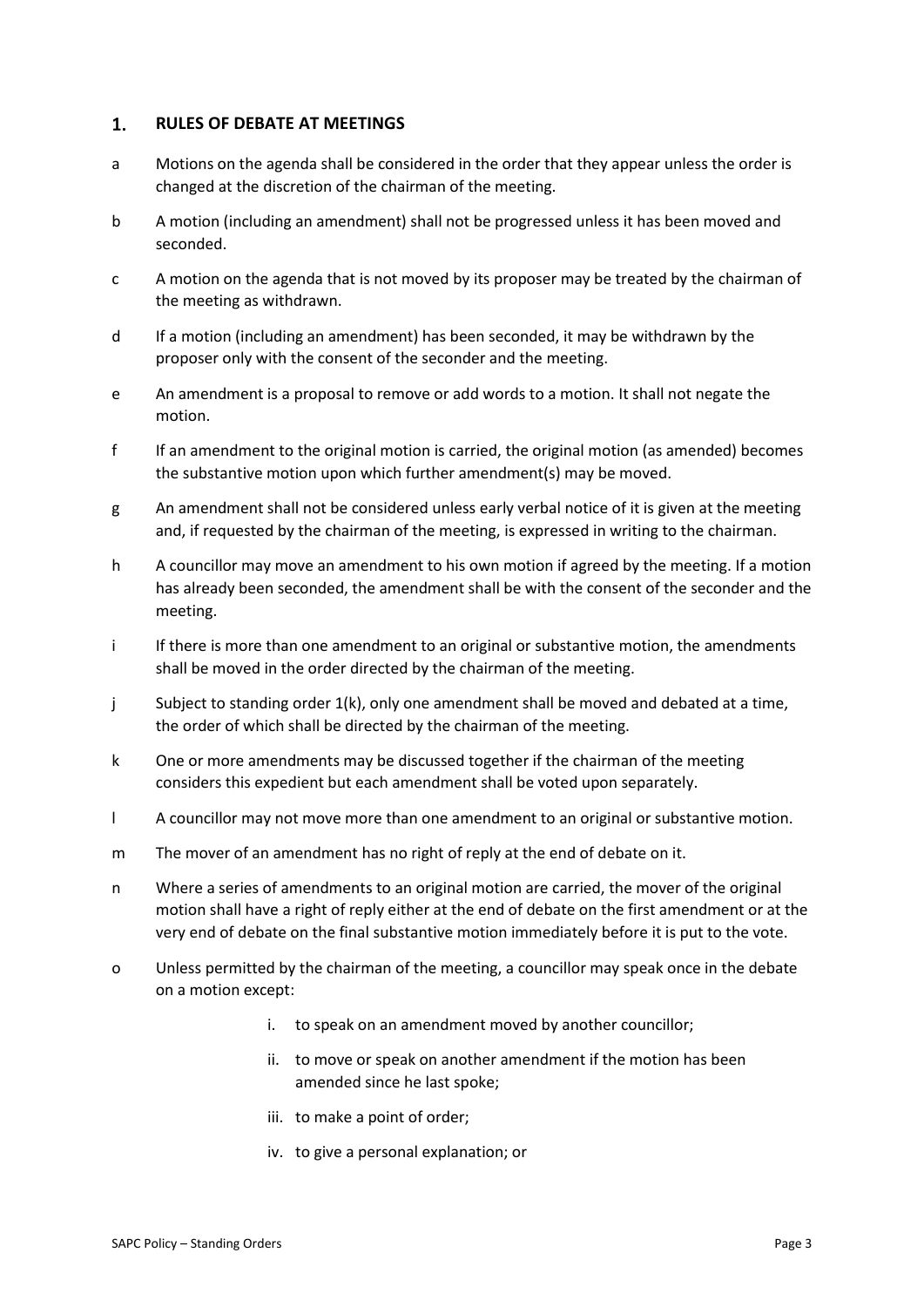#### $1.$ **RULES OF DEBATE AT MEETINGS**

- a Motions on the agenda shall be considered in the order that they appear unless the order is changed at the discretion of the chairman of the meeting.
- b A motion (including an amendment) shall not be progressed unless it has been moved and seconded.
- c A motion on the agenda that is not moved by its proposer may be treated by the chairman of the meeting as withdrawn.
- d If a motion (including an amendment) has been seconded, it may be withdrawn by the proposer only with the consent of the seconder and the meeting.
- e An amendment is a proposal to remove or add words to a motion. It shall not negate the motion.
- f If an amendment to the original motion is carried, the original motion (as amended) becomes the substantive motion upon which further amendment(s) may be moved.
- g An amendment shall not be considered unless early verbal notice of it is given at the meeting and, if requested by the chairman of the meeting, is expressed in writing to the chairman.
- h A councillor may move an amendment to his own motion if agreed by the meeting. If a motion has already been seconded, the amendment shall be with the consent of the seconder and the meeting.
- i If there is more than one amendment to an original or substantive motion, the amendments shall be moved in the order directed by the chairman of the meeting.
- j Subject to standing order  $1(k)$ , only one amendment shall be moved and debated at a time, the order of which shall be directed by the chairman of the meeting.
- k One or more amendments may be discussed together if the chairman of the meeting considers this expedient but each amendment shall be voted upon separately.
- l A councillor may not move more than one amendment to an original or substantive motion.
- m The mover of an amendment has no right of reply at the end of debate on it.
- n Where a series of amendments to an original motion are carried, the mover of the original motion shall have a right of reply either at the end of debate on the first amendment or at the very end of debate on the final substantive motion immediately before it is put to the vote.
- o Unless permitted by the chairman of the meeting, a councillor may speak once in the debate on a motion except:
	- i. to speak on an amendment moved by another councillor;
	- ii. to move or speak on another amendment if the motion has been amended since he last spoke;
	- iii. to make a point of order;
	- iv. to give a personal explanation; or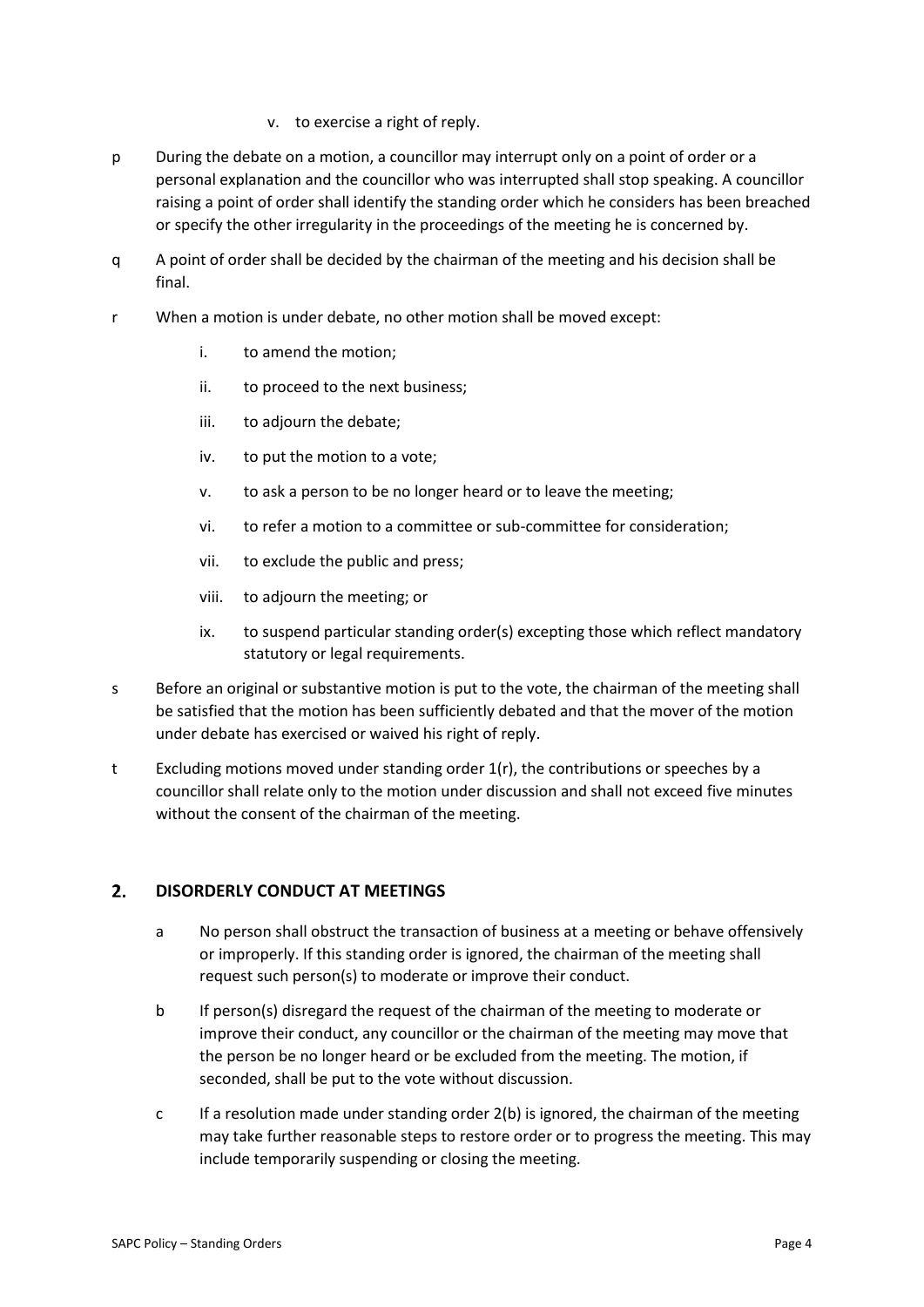- v. to exercise a right of reply.
- p During the debate on a motion, a councillor may interrupt only on a point of order or a personal explanation and the councillor who was interrupted shall stop speaking. A councillor raising a point of order shall identify the standing order which he considers has been breached or specify the other irregularity in the proceedings of the meeting he is concerned by.
- q A point of order shall be decided by the chairman of the meeting and his decision shall be final.
- r When a motion is under debate, no other motion shall be moved except:
	- i. to amend the motion;
	- ii. to proceed to the next business;
	- iii. to adjourn the debate;
	- iv. to put the motion to a vote;
	- v. to ask a person to be no longer heard or to leave the meeting;
	- vi. to refer a motion to a committee or sub-committee for consideration;
	- vii. to exclude the public and press;
	- viii. to adjourn the meeting; or
	- ix. to suspend particular standing order(s) excepting those which reflect mandatory statutory or legal requirements.
- s Before an original or substantive motion is put to the vote, the chairman of the meeting shall be satisfied that the motion has been sufficiently debated and that the mover of the motion under debate has exercised or waived his right of reply.
- t Excluding motions moved under standing order  $1(r)$ , the contributions or speeches by a councillor shall relate only to the motion under discussion and shall not exceed five minutes without the consent of the chairman of the meeting.

#### $2.$ **DISORDERLY CONDUCT AT MEETINGS**

- a No person shall obstruct the transaction of business at a meeting or behave offensively or improperly. If this standing order is ignored, the chairman of the meeting shall request such person(s) to moderate or improve their conduct.
- b If person(s) disregard the request of the chairman of the meeting to moderate or improve their conduct, any councillor or the chairman of the meeting may move that the person be no longer heard or be excluded from the meeting. The motion, if seconded, shall be put to the vote without discussion.
- c If a resolution made under standing order 2(b) is ignored, the chairman of the meeting may take further reasonable steps to restore order or to progress the meeting. This may include temporarily suspending or closing the meeting.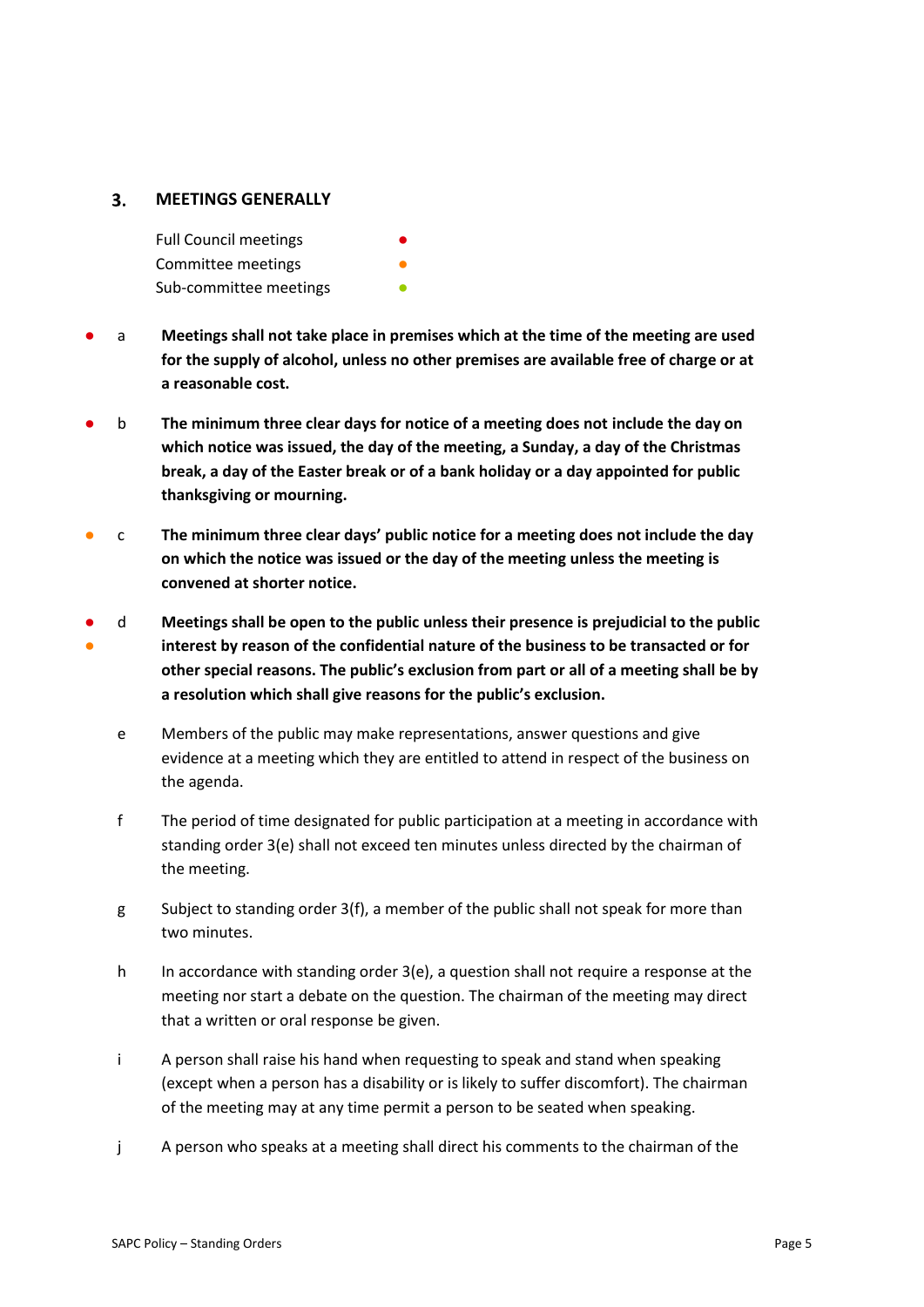#### $3.$ **MEETINGS GENERALLY**

Full Council meetings Committee meetings Sub-committee meetings

- a **Meetings shall not take place in premises which at the time of the meeting are used for the supply of alcohol, unless no other premises are available free of charge or at a reasonable cost.**
- b **The minimum three clear days for notice of a meeting does not include the day on which notice was issued, the day of the meeting, a Sunday, a day of the Christmas break, a day of the Easter break or of a bank holiday or a day appointed for public thanksgiving or mourning.**
- c **The minimum three clear days' public notice for a meeting does not include the day on which the notice was issued or the day of the meeting unless the meeting is convened at shorter notice.**
- ● d **Meetings shall be open to the public unless their presence is prejudicial to the public interest by reason of the confidential nature of the business to be transacted or for other special reasons. The public's exclusion from part or all of a meeting shall be by a resolution which shall give reasons for the public's exclusion.**
	- e Members of the public may make representations, answer questions and give evidence at a meeting which they are entitled to attend in respect of the business on the agenda.
	- f The period of time designated for public participation at a meeting in accordance with standing order 3(e) shall not exceed ten minutes unless directed by the chairman of the meeting.
	- g Subject to standing order 3(f), a member of the public shall not speak for more than two minutes.
	- h In accordance with standing order  $3(e)$ , a question shall not require a response at the meeting nor start a debate on the question. The chairman of the meeting may direct that a written or oral response be given.
	- i A person shall raise his hand when requesting to speak and stand when speaking (except when a person has a disability or is likely to suffer discomfort). The chairman of the meeting may at any time permit a person to be seated when speaking.
	- j A person who speaks at a meeting shall direct his comments to the chairman of the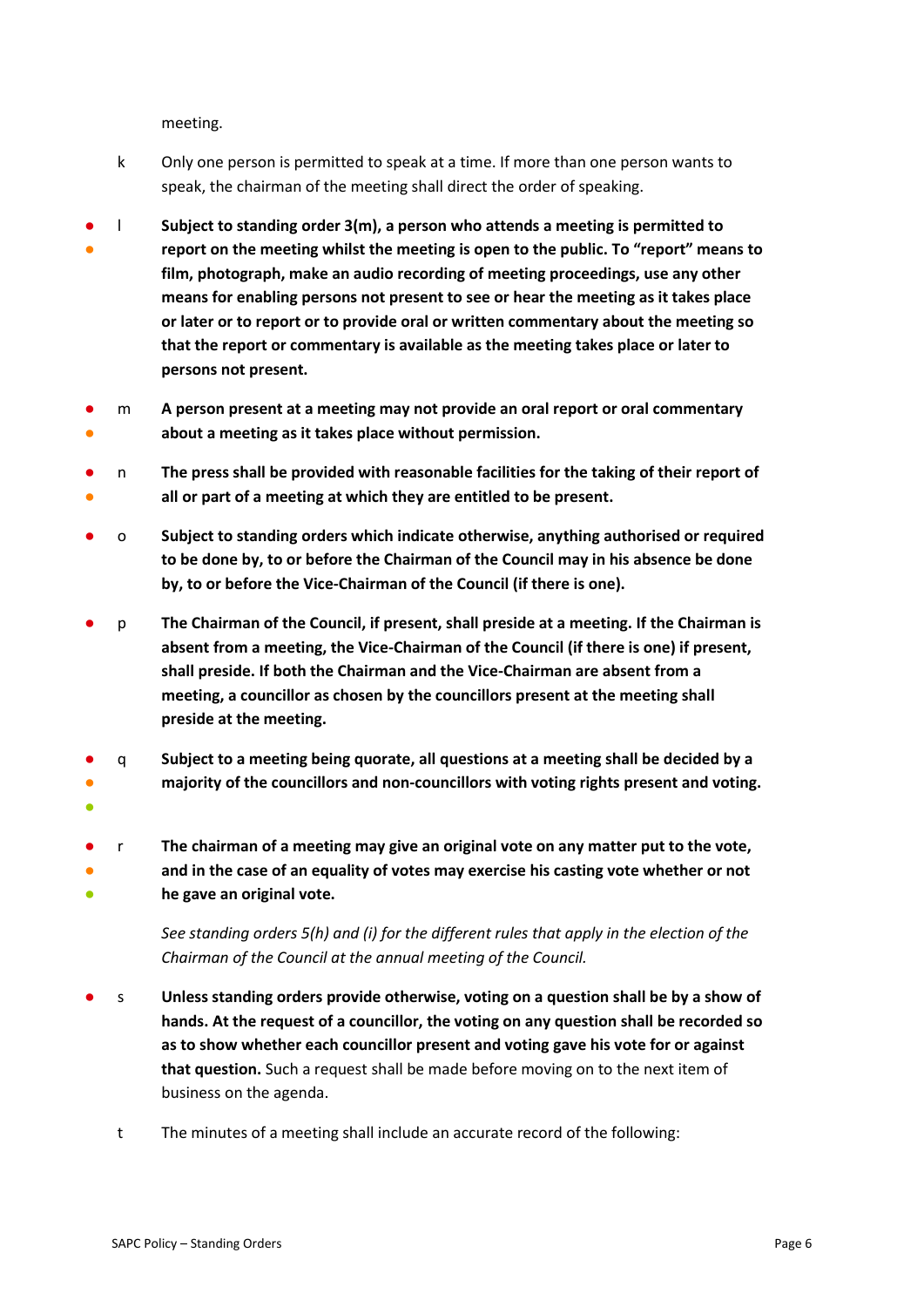meeting.

- k Only one person is permitted to speak at a time. If more than one person wants to speak, the chairman of the meeting shall direct the order of speaking.
- ● l **Subject to standing order 3(m), a person who attends a meeting is permitted to report on the meeting whilst the meeting is open to the public. To "report" means to film, photograph, make an audio recording of meeting proceedings, use any other means for enabling persons not present to see or hear the meeting as it takes place or later or to report or to provide oral or written commentary about the meeting so that the report or commentary is available as the meeting takes place or later to persons not present.**
- ● m **A person present at a meeting may not provide an oral report or oral commentary about a meeting as it takes place without permission.**
- ● n **The press shall be provided with reasonable facilities for the taking of their report of all or part of a meeting at which they are entitled to be present.**
- o **Subject to standing orders which indicate otherwise, anything authorised or required to be done by, to or before the Chairman of the Council may in his absence be done by, to or before the Vice-Chairman of the Council (if there is one).**
- p **The Chairman of the Council, if present, shall preside at a meeting. If the Chairman is absent from a meeting, the Vice-Chairman of the Council (if there is one) if present, shall preside. If both the Chairman and the Vice-Chairman are absent from a meeting, a councillor as chosen by the councillors present at the meeting shall preside at the meeting.**
- q **Subject to a meeting being quorate, all questions at a meeting shall be decided by a**
- **majority of the councillors and non-councillors with voting rights present and voting.**
- ●
- ● ● r **The chairman of a meeting may give an original vote on any matter put to the vote, and in the case of an equality of votes may exercise his casting vote whether or not he gave an original vote.**
	- *See standing orders 5(h) and (i) for the different rules that apply in the election of the Chairman of the Council at the annual meeting of the Council.*
- s **Unless standing orders provide otherwise, voting on a question shall be by a show of hands. At the request of a councillor, the voting on any question shall be recorded so as to show whether each councillor present and voting gave his vote for or against that question.** Such a request shall be made before moving on to the next item of business on the agenda.
	- t The minutes of a meeting shall include an accurate record of the following: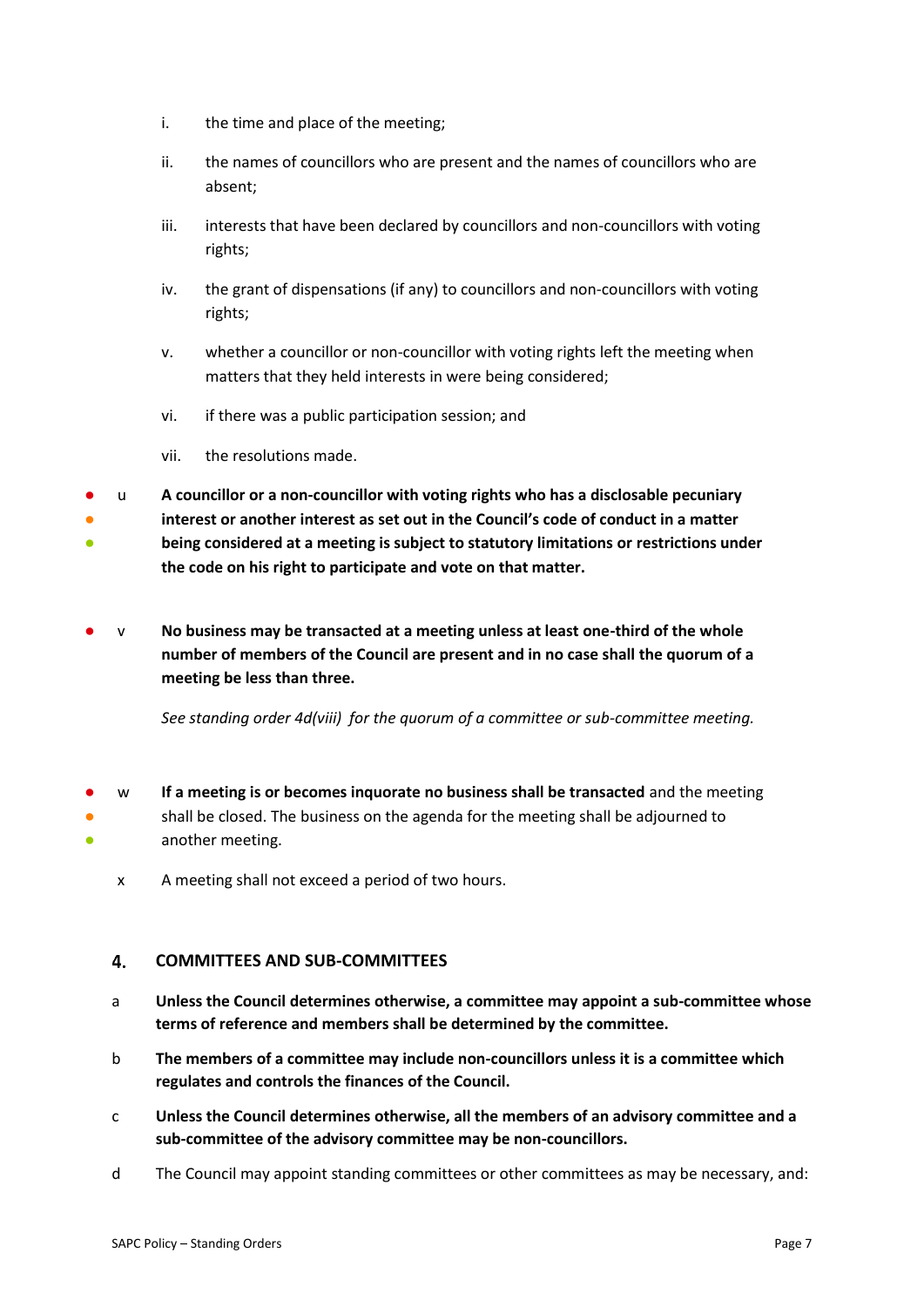- i. the time and place of the meeting;
- ii. the names of councillors who are present and the names of councillors who are absent;
- iii. interests that have been declared by councillors and non-councillors with voting rights;
- iv. the grant of dispensations (if any) to councillors and non-councillors with voting rights;
- v. whether a councillor or non-councillor with voting rights left the meeting when matters that they held interests in were being considered;
- vi. if there was a public participation session; and
- vii. the resolutions made.
- u **A councillor or a non-councillor with voting rights who has a disclosable pecuniary**
- ● **interest or another interest as set out in the Council's code of conduct in a matter being considered at a meeting is subject to statutory limitations or restrictions under the code on his right to participate and vote on that matter.**
- v **No business may be transacted at a meeting unless at least one-third of the whole number of members of the Council are present and in no case shall the quorum of a meeting be less than three.**

*See standing order 4d(viii) for the quorum of a committee or sub-committee meeting.* 

- ● ● w **If a meeting is or becomes inquorate no business shall be transacted** and the meeting shall be closed. The business on the agenda for the meeting shall be adjourned to another meeting.
	- x A meeting shall not exceed a period of two hours.

#### 4. **COMMITTEES AND SUB-COMMITTEES**

- a **Unless the Council determines otherwise, a committee may appoint a sub-committee whose terms of reference and members shall be determined by the committee.**
- b **The members of a committee may include non-councillors unless it is a committee which regulates and controls the finances of the Council.**
- c **Unless the Council determines otherwise, all the members of an advisory committee and a sub-committee of the advisory committee may be non-councillors.**
- d The Council may appoint standing committees or other committees as may be necessary, and: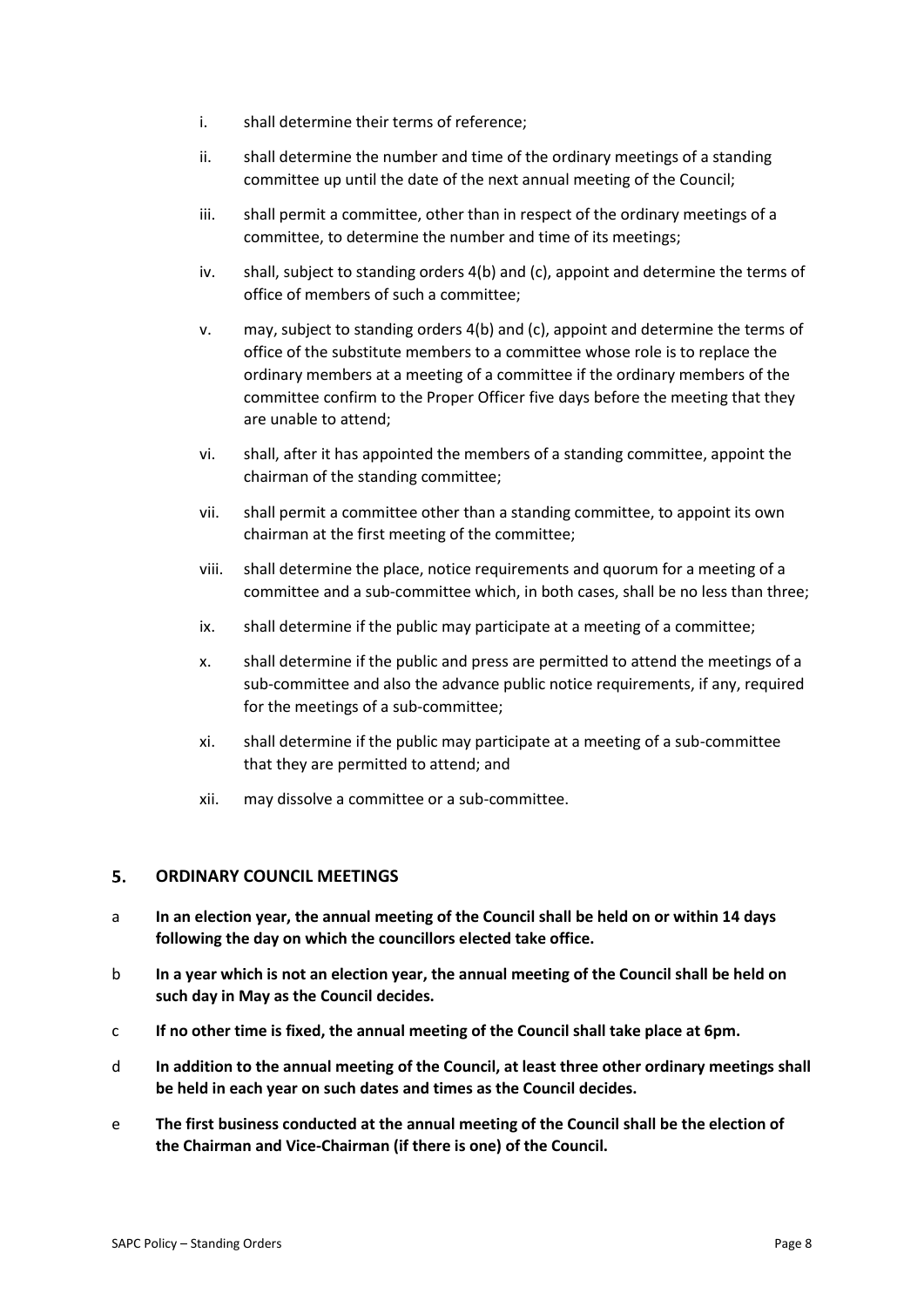- i. shall determine their terms of reference;
- ii. shall determine the number and time of the ordinary meetings of a standing committee up until the date of the next annual meeting of the Council;
- iii. shall permit a committee, other than in respect of the ordinary meetings of a committee, to determine the number and time of its meetings;
- iv. shall, subject to standing orders 4(b) and (c), appoint and determine the terms of office of members of such a committee;
- v. may, subject to standing orders 4(b) and (c), appoint and determine the terms of office of the substitute members to a committee whose role is to replace the ordinary members at a meeting of a committee if the ordinary members of the committee confirm to the Proper Officer five days before the meeting that they are unable to attend;
- vi. shall, after it has appointed the members of a standing committee, appoint the chairman of the standing committee;
- vii. shall permit a committee other than a standing committee, to appoint its own chairman at the first meeting of the committee;
- viii. shall determine the place, notice requirements and quorum for a meeting of a committee and a sub-committee which, in both cases, shall be no less than three;
- ix. shall determine if the public may participate at a meeting of a committee;
- x. shall determine if the public and press are permitted to attend the meetings of a sub-committee and also the advance public notice requirements, if any, required for the meetings of a sub-committee;
- xi. shall determine if the public may participate at a meeting of a sub-committee that they are permitted to attend; and
- xii. may dissolve a committee or a sub-committee.

#### 5. **ORDINARY COUNCIL MEETINGS**

- a **In an election year, the annual meeting of the Council shall be held on or within 14 days following the day on which the councillors elected take office.**
- b **In a year which is not an election year, the annual meeting of the Council shall be held on such day in May as the Council decides.**
- c **If no other time is fixed, the annual meeting of the Council shall take place at 6pm.**
- d **In addition to the annual meeting of the Council, at least three other ordinary meetings shall be held in each year on such dates and times as the Council decides.**
- e **The first business conducted at the annual meeting of the Council shall be the election of the Chairman and Vice-Chairman (if there is one) of the Council.**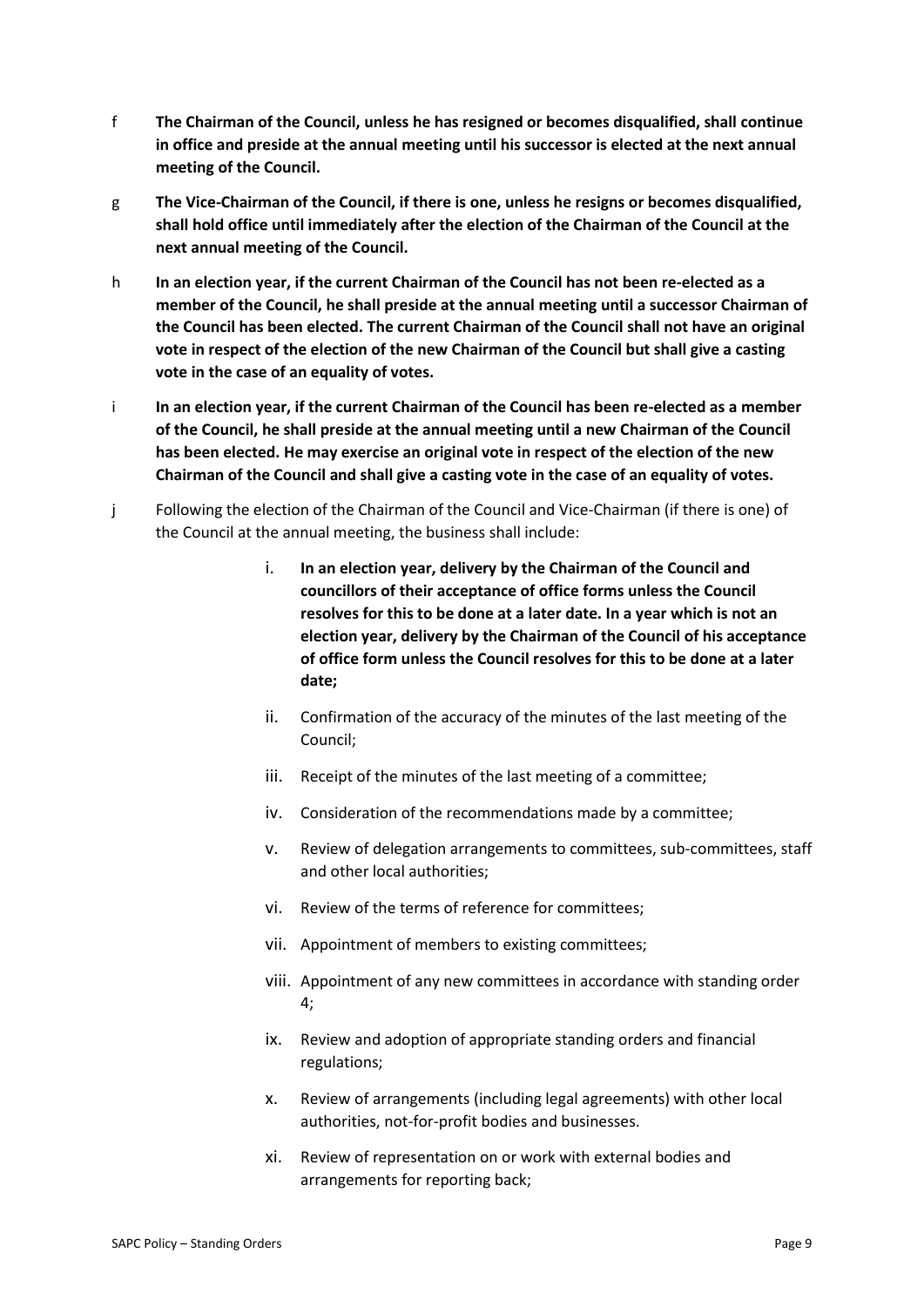- f **The Chairman of the Council, unless he has resigned or becomes disqualified, shall continue in office and preside at the annual meeting until his successor is elected at the next annual meeting of the Council.**
- g **The Vice-Chairman of the Council, if there is one, unless he resigns or becomes disqualified, shall hold office until immediately after the election of the Chairman of the Council at the next annual meeting of the Council.**
- h **In an election year, if the current Chairman of the Council has not been re-elected as a member of the Council, he shall preside at the annual meeting until a successor Chairman of the Council has been elected. The current Chairman of the Council shall not have an original vote in respect of the election of the new Chairman of the Council but shall give a casting vote in the case of an equality of votes.**
- i **In an election year, if the current Chairman of the Council has been re-elected as a member of the Council, he shall preside at the annual meeting until a new Chairman of the Council has been elected. He may exercise an original vote in respect of the election of the new Chairman of the Council and shall give a casting vote in the case of an equality of votes.**
- j Following the election of the Chairman of the Council and Vice-Chairman (if there is one) of the Council at the annual meeting, the business shall include:
	- i. **In an election year, delivery by the Chairman of the Council and councillors of their acceptance of office forms unless the Council resolves for this to be done at a later date. In a year which is not an election year, delivery by the Chairman of the Council of his acceptance of office form unless the Council resolves for this to be done at a later date;**
	- ii. Confirmation of the accuracy of the minutes of the last meeting of the Council;
	- iii. Receipt of the minutes of the last meeting of a committee;
	- iv. Consideration of the recommendations made by a committee;
	- v. Review of delegation arrangements to committees, sub-committees, staff and other local authorities;
	- vi. Review of the terms of reference for committees;
	- vii. Appointment of members to existing committees;
	- viii. Appointment of any new committees in accordance with standing order 4;
	- ix. Review and adoption of appropriate standing orders and financial regulations;
	- x. Review of arrangements (including legal agreements) with other local authorities, not-for-profit bodies and businesses.
	- xi. Review of representation on or work with external bodies and arrangements for reporting back;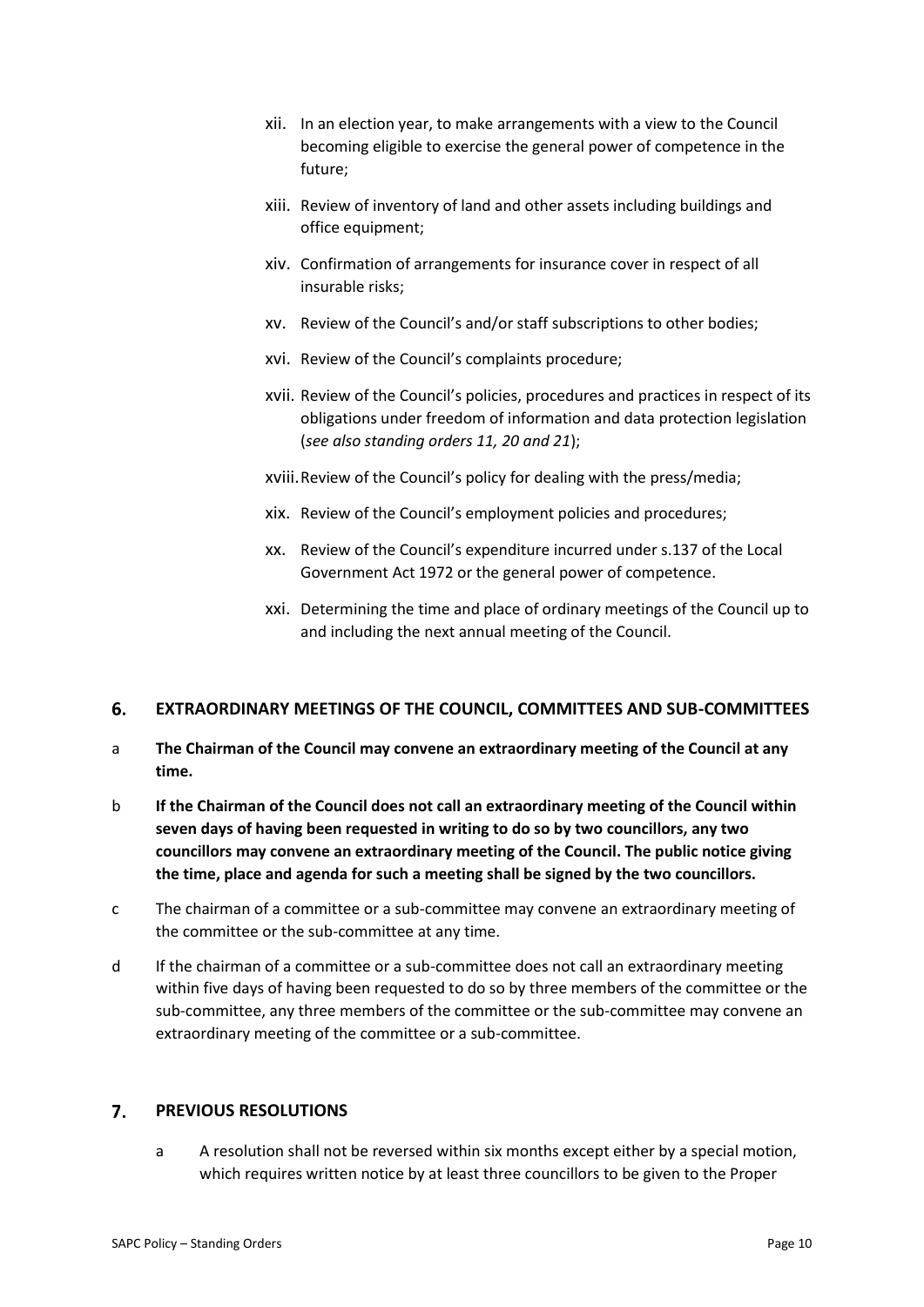- xii. In an election year, to make arrangements with a view to the Council becoming eligible to exercise the general power of competence in the future;
- xiii. Review of inventory of land and other assets including buildings and office equipment;
- xiv. Confirmation of arrangements for insurance cover in respect of all insurable risks;
- xv. Review of the Council's and/or staff subscriptions to other bodies;
- xvi. Review of the Council's complaints procedure;
- xvii. Review of the Council's policies, procedures and practices in respect of its obligations under freedom of information and data protection legislation (*see also standing orders 11, 20 and 21*);
- xviii.Review of the Council's policy for dealing with the press/media;
- xix. Review of the Council's employment policies and procedures;
- xx. Review of the Council's expenditure incurred under s.137 of the Local Government Act 1972 or the general power of competence.
- xxi. Determining the time and place of ordinary meetings of the Council up to and including the next annual meeting of the Council.

#### 6. **EXTRAORDINARY MEETINGS OF THE COUNCIL, COMMITTEES AND SUB-COMMITTEES**

- a **The Chairman of the Council may convene an extraordinary meeting of the Council at any time.**
- b **If the Chairman of the Council does not call an extraordinary meeting of the Council within seven days of having been requested in writing to do so by two councillors, any two councillors may convene an extraordinary meeting of the Council. The public notice giving the time, place and agenda for such a meeting shall be signed by the two councillors.**
- c The chairman of a committee or a sub-committee may convene an extraordinary meeting of the committee or the sub-committee at any time.
- d If the chairman of a committee or a sub-committee does not call an extraordinary meeting within five days of having been requested to do so by three members of the committee or the sub-committee, any three members of the committee or the sub-committee may convene an extraordinary meeting of the committee or a sub-committee.

#### $\overline{7}$ . **PREVIOUS RESOLUTIONS**

a A resolution shall not be reversed within six months except either by a special motion, which requires written notice by at least three councillors to be given to the Proper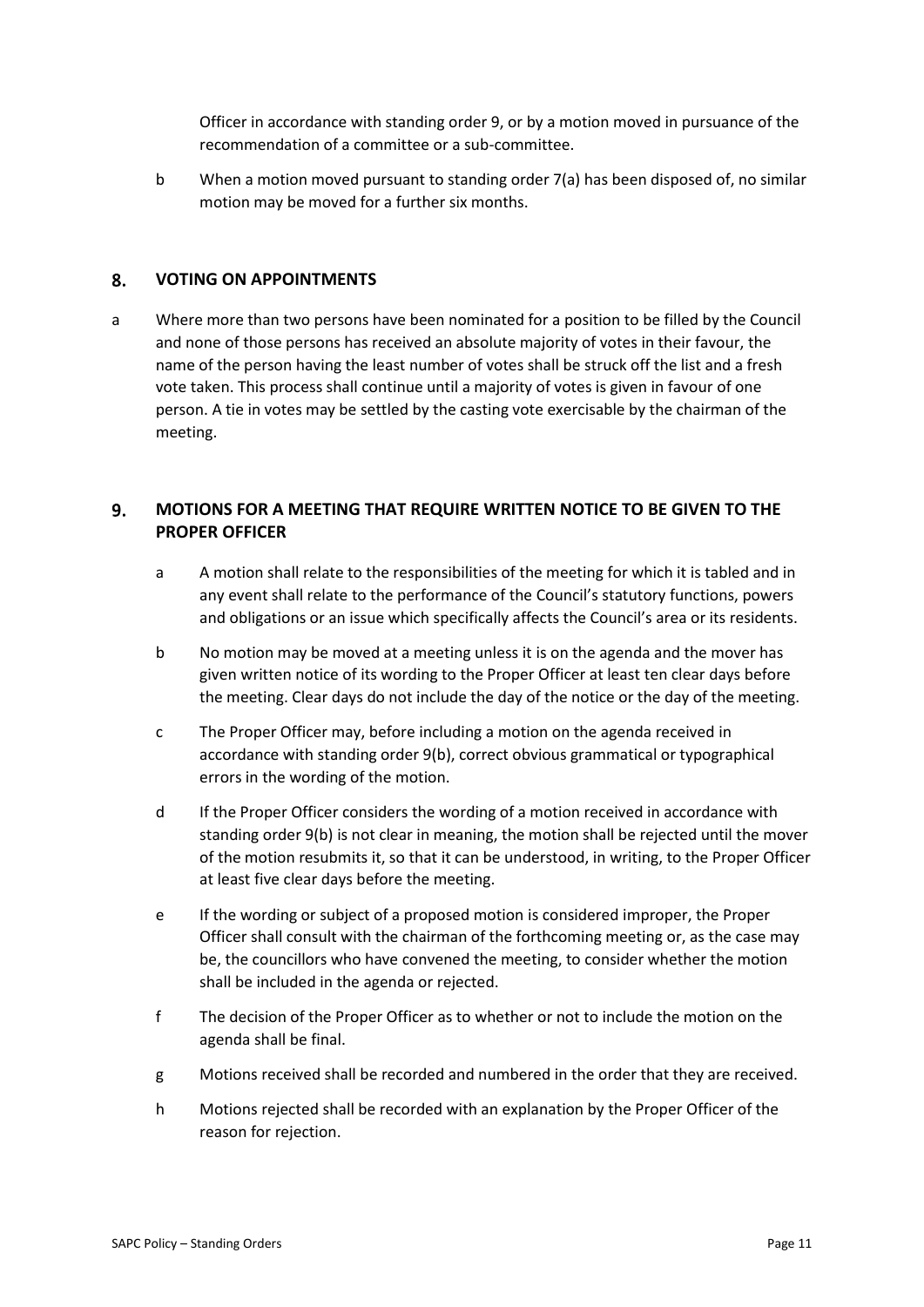Officer in accordance with standing order 9, or by a motion moved in pursuance of the recommendation of a committee or a sub-committee.

b When a motion moved pursuant to standing order 7(a) has been disposed of, no similar motion may be moved for a further six months.

#### 8. **VOTING ON APPOINTMENTS**

a Where more than two persons have been nominated for a position to be filled by the Council and none of those persons has received an absolute majority of votes in their favour, the name of the person having the least number of votes shall be struck off the list and a fresh vote taken. This process shall continue until a majority of votes is given in favour of one person. A tie in votes may be settled by the casting vote exercisable by the chairman of the meeting.

### 9. **MOTIONS FOR A MEETING THAT REQUIRE WRITTEN NOTICE TO BE GIVEN TO THE PROPER OFFICER**

- a A motion shall relate to the responsibilities of the meeting for which it is tabled and in any event shall relate to the performance of the Council's statutory functions, powers and obligations or an issue which specifically affects the Council's area or its residents.
- b No motion may be moved at a meeting unless it is on the agenda and the mover has given written notice of its wording to the Proper Officer at least ten clear days before the meeting. Clear days do not include the day of the notice or the day of the meeting.
- c The Proper Officer may, before including a motion on the agenda received in accordance with standing order 9(b), correct obvious grammatical or typographical errors in the wording of the motion.
- d If the Proper Officer considers the wording of a motion received in accordance with standing order 9(b) is not clear in meaning, the motion shall be rejected until the mover of the motion resubmits it, so that it can be understood, in writing, to the Proper Officer at least five clear days before the meeting.
- e If the wording or subject of a proposed motion is considered improper, the Proper Officer shall consult with the chairman of the forthcoming meeting or, as the case may be, the councillors who have convened the meeting, to consider whether the motion shall be included in the agenda or rejected.
- f The decision of the Proper Officer as to whether or not to include the motion on the agenda shall be final.
- g Motions received shall be recorded and numbered in the order that they are received.
- h Motions rejected shall be recorded with an explanation by the Proper Officer of the reason for rejection.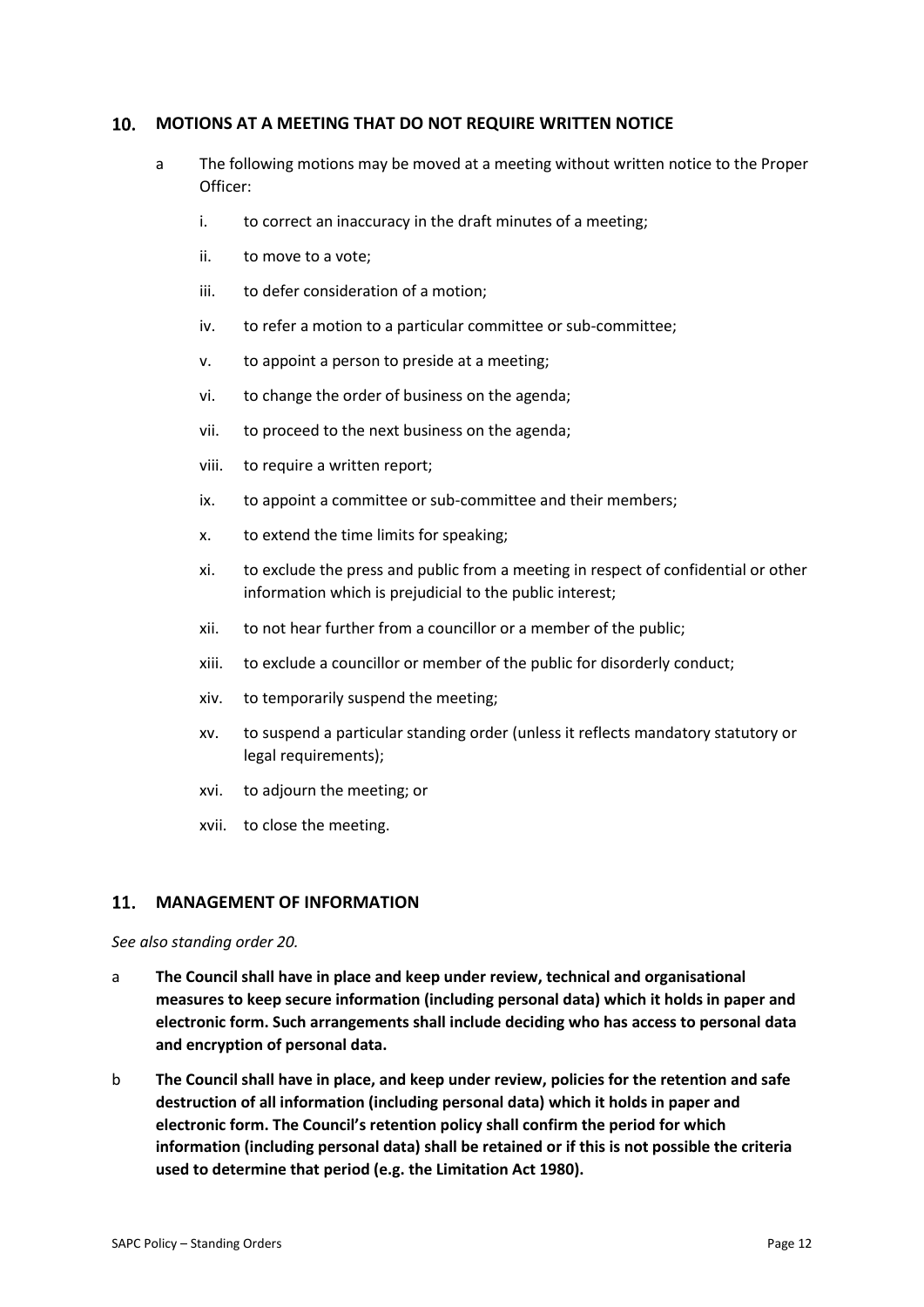#### 10. **MOTIONS AT A MEETING THAT DO NOT REQUIRE WRITTEN NOTICE**

- a The following motions may be moved at a meeting without written notice to the Proper Officer:
	- i. to correct an inaccuracy in the draft minutes of a meeting;
	- ii. to move to a vote;
	- iii. to defer consideration of a motion;
	- iv. to refer a motion to a particular committee or sub-committee;
	- v. to appoint a person to preside at a meeting;
	- vi. to change the order of business on the agenda;
	- vii. to proceed to the next business on the agenda;
	- viii. to require a written report;
	- ix. to appoint a committee or sub-committee and their members;
	- x. to extend the time limits for speaking;
	- xi. to exclude the press and public from a meeting in respect of confidential or other information which is prejudicial to the public interest;
	- xii. to not hear further from a councillor or a member of the public;
	- xiii. to exclude a councillor or member of the public for disorderly conduct;
	- xiv. to temporarily suspend the meeting;
	- xv. to suspend a particular standing order (unless it reflects mandatory statutory or legal requirements);
	- xvi. to adjourn the meeting; or
	- xvii. to close the meeting.

#### 11. **MANAGEMENT OF INFORMATION**

### *See also standing order 20.*

- a **The Council shall have in place and keep under review, technical and organisational measures to keep secure information (including personal data) which it holds in paper and electronic form. Such arrangements shall include deciding who has access to personal data and encryption of personal data.**
- b **The Council shall have in place, and keep under review, policies for the retention and safe destruction of all information (including personal data) which it holds in paper and electronic form. The Council's retention policy shall confirm the period for which information (including personal data) shall be retained or if this is not possible the criteria used to determine that period (e.g. the Limitation Act 1980).**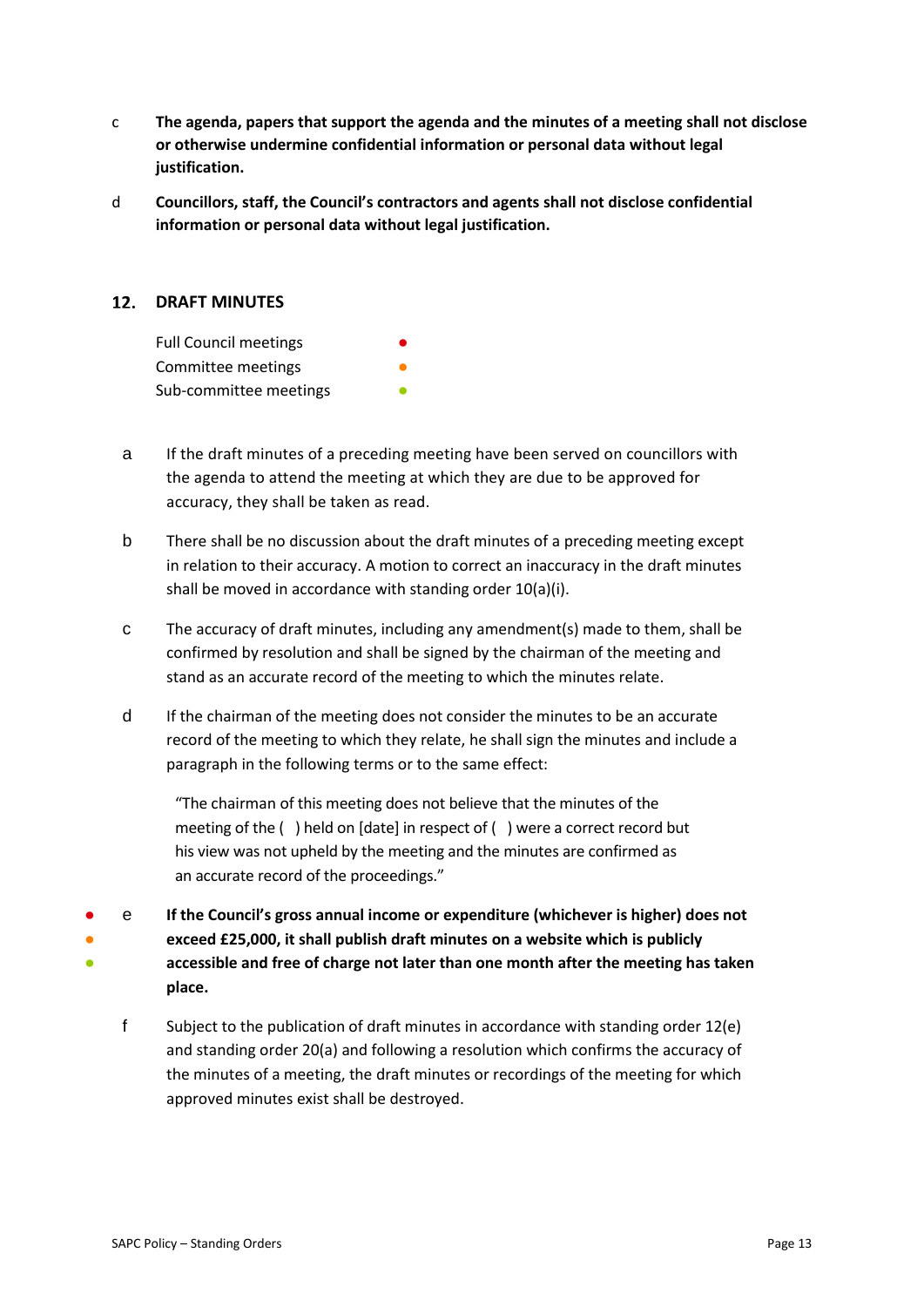- c **The agenda, papers that support the agenda and the minutes of a meeting shall not disclose or otherwise undermine confidential information or personal data without legal justification.**
- d **Councillors, staff, the Council's contractors and agents shall not disclose confidential information or personal data without legal justification.**

### **12. DRAFT MINUTES**

| <b>Full Council meetings</b> |  |
|------------------------------|--|
| Committee meetings           |  |
| Sub-committee meetings       |  |

- a If the draft minutes of a preceding meeting have been served on councillors with the agenda to attend the meeting at which they are due to be approved for accuracy, they shall be taken as read.
- b There shall be no discussion about the draft minutes of a preceding meeting except in relation to their accuracy. A motion to correct an inaccuracy in the draft minutes shall be moved in accordance with standing order 10(a)(i).
- c The accuracy of draft minutes, including any amendment(s) made to them, shall be confirmed by resolution and shall be signed by the chairman of the meeting and stand as an accurate record of the meeting to which the minutes relate.
- d If the chairman of the meeting does not consider the minutes to be an accurate record of the meeting to which they relate, he shall sign the minutes and include a paragraph in the following terms or to the same effect:

"The chairman of this meeting does not believe that the minutes of the meeting of the ( ) held on [date] in respect of ( ) were a correct record but his view was not upheld by the meeting and the minutes are confirmed as an accurate record of the proceedings."

- ● ● e **If the Council's gross annual income or expenditure (whichever is higher) does not exceed £25,000, it shall publish draft minutes on a website which is publicly accessible and free of charge not later than one month after the meeting has taken place.**
	- f Subject to the publication of draft minutes in accordance with standing order 12(e) and standing order 20(a) and following a resolution which confirms the accuracy of the minutes of a meeting, the draft minutes or recordings of the meeting for which approved minutes exist shall be destroyed.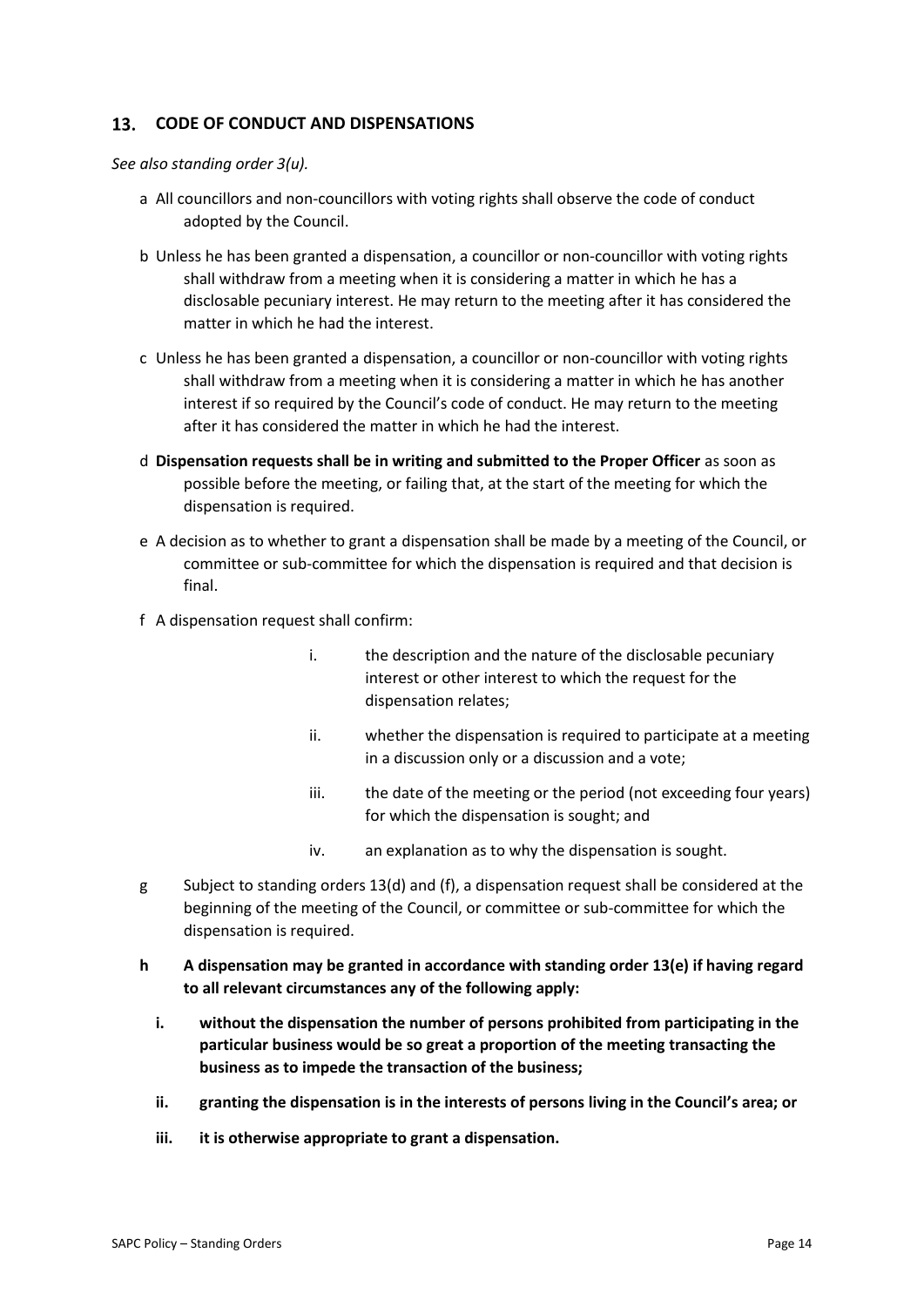#### $13.$ **CODE OF CONDUCT AND DISPENSATIONS**

*See also standing order 3(u).* 

- a All councillors and non-councillors with voting rights shall observe the code of conduct adopted by the Council.
- b Unless he has been granted a dispensation, a councillor or non-councillor with voting rights shall withdraw from a meeting when it is considering a matter in which he has a disclosable pecuniary interest. He may return to the meeting after it has considered the matter in which he had the interest.
- c Unless he has been granted a dispensation, a councillor or non-councillor with voting rights shall withdraw from a meeting when it is considering a matter in which he has another interest if so required by the Council's code of conduct. He may return to the meeting after it has considered the matter in which he had the interest.
- d **Dispensation requests shall be in writing and submitted to the Proper Officer** as soon as possible before the meeting, or failing that, at the start of the meeting for which the dispensation is required.
- e A decision as to whether to grant a dispensation shall be made by a meeting of the Council, or committee or sub-committee for which the dispensation is required and that decision is final.
- f A dispensation request shall confirm:
	- i. the description and the nature of the disclosable pecuniary interest or other interest to which the request for the dispensation relates;
	- ii. whether the dispensation is required to participate at a meeting in a discussion only or a discussion and a vote;
	- iii. the date of the meeting or the period (not exceeding four years) for which the dispensation is sought; and
	- iv. an explanation as to why the dispensation is sought.
- g Subject to standing orders 13(d) and (f), a dispensation request shall be considered at the beginning of the meeting of the Council, or committee or sub-committee for which the dispensation is required.
- **h A dispensation may be granted in accordance with standing order 13(e) if having regard to all relevant circumstances any of the following apply:**
	- **i. without the dispensation the number of persons prohibited from participating in the particular business would be so great a proportion of the meeting transacting the business as to impede the transaction of the business;**
	- **ii. granting the dispensation is in the interests of persons living in the Council's area; or**
	- **iii. it is otherwise appropriate to grant a dispensation.**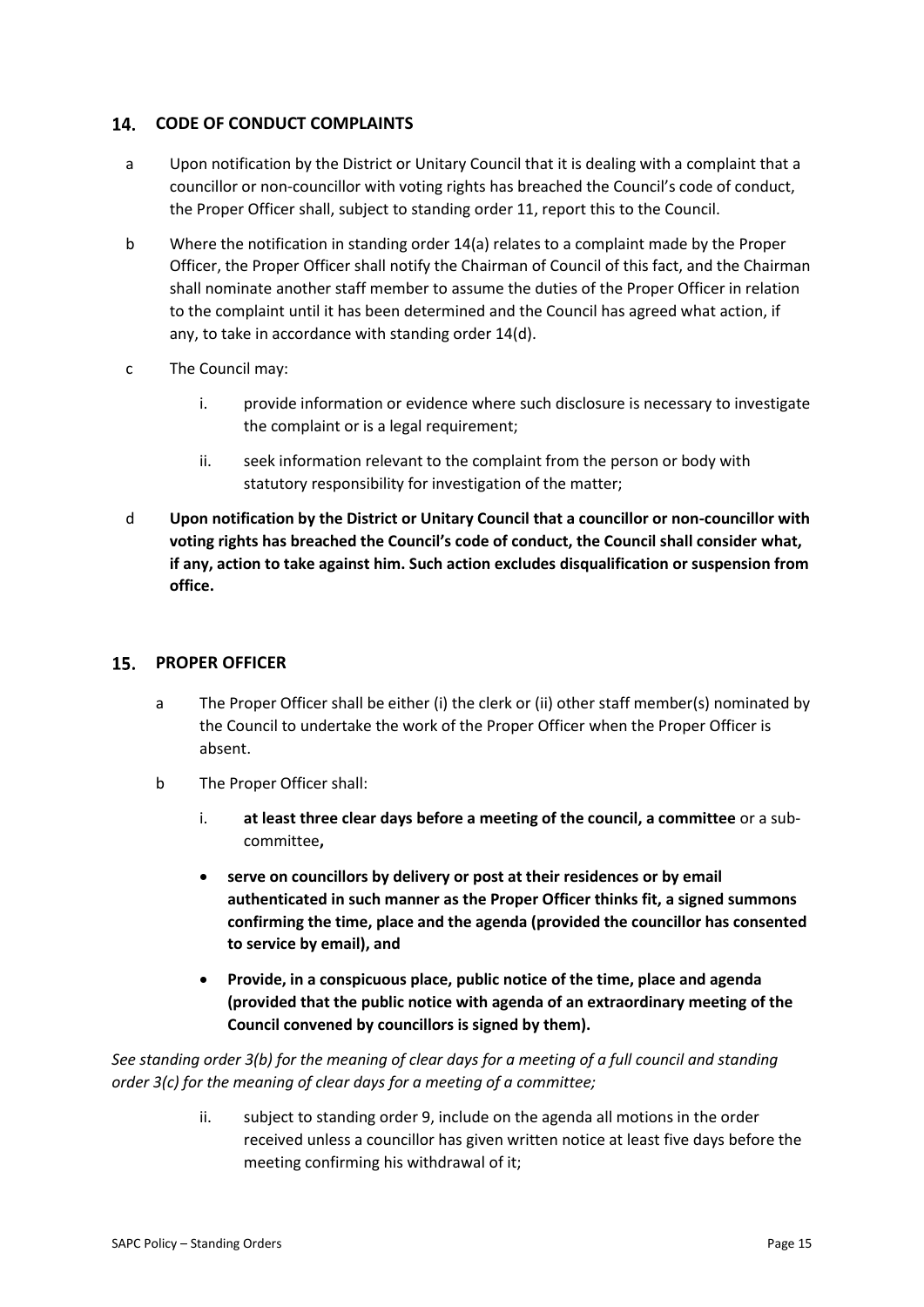#### $14.$ **CODE OF CONDUCT COMPLAINTS**

- a Upon notification by the District or Unitary Council that it is dealing with a complaint that a councillor or non-councillor with voting rights has breached the Council's code of conduct, the Proper Officer shall, subject to standing order 11, report this to the Council.
- b Where the notification in standing order 14(a) relates to a complaint made by the Proper Officer, the Proper Officer shall notify the Chairman of Council of this fact, and the Chairman shall nominate another staff member to assume the duties of the Proper Officer in relation to the complaint until it has been determined and the Council has agreed what action, if any, to take in accordance with standing order 14(d).
- c The Council may:
	- i. provide information or evidence where such disclosure is necessary to investigate the complaint or is a legal requirement;
	- ii. seek information relevant to the complaint from the person or body with statutory responsibility for investigation of the matter;
- d **Upon notification by the District or Unitary Council that a councillor or non-councillor with voting rights has breached the Council's code of conduct, the Council shall consider what, if any, action to take against him. Such action excludes disqualification or suspension from office.**

### **PROPER OFFICER**

- a The Proper Officer shall be either (i) the clerk or (ii) other staff member(s) nominated by the Council to undertake the work of the Proper Officer when the Proper Officer is absent.
- b The Proper Officer shall:
	- i. **at least three clear days before a meeting of the council, a committee** or a subcommittee**,**
	- **serve on councillors by delivery or post at their residences or by email authenticated in such manner as the Proper Officer thinks fit, a signed summons confirming the time, place and the agenda (provided the councillor has consented to service by email), and**
	- **Provide, in a conspicuous place, public notice of the time, place and agenda (provided that the public notice with agenda of an extraordinary meeting of the Council convened by councillors is signed by them).**

*See standing order 3(b) for the meaning of clear days for a meeting of a full council and standing order 3(c) for the meaning of clear days for a meeting of a committee;*

> ii. subject to standing order 9, include on the agenda all motions in the order received unless a councillor has given written notice at least five days before the meeting confirming his withdrawal of it;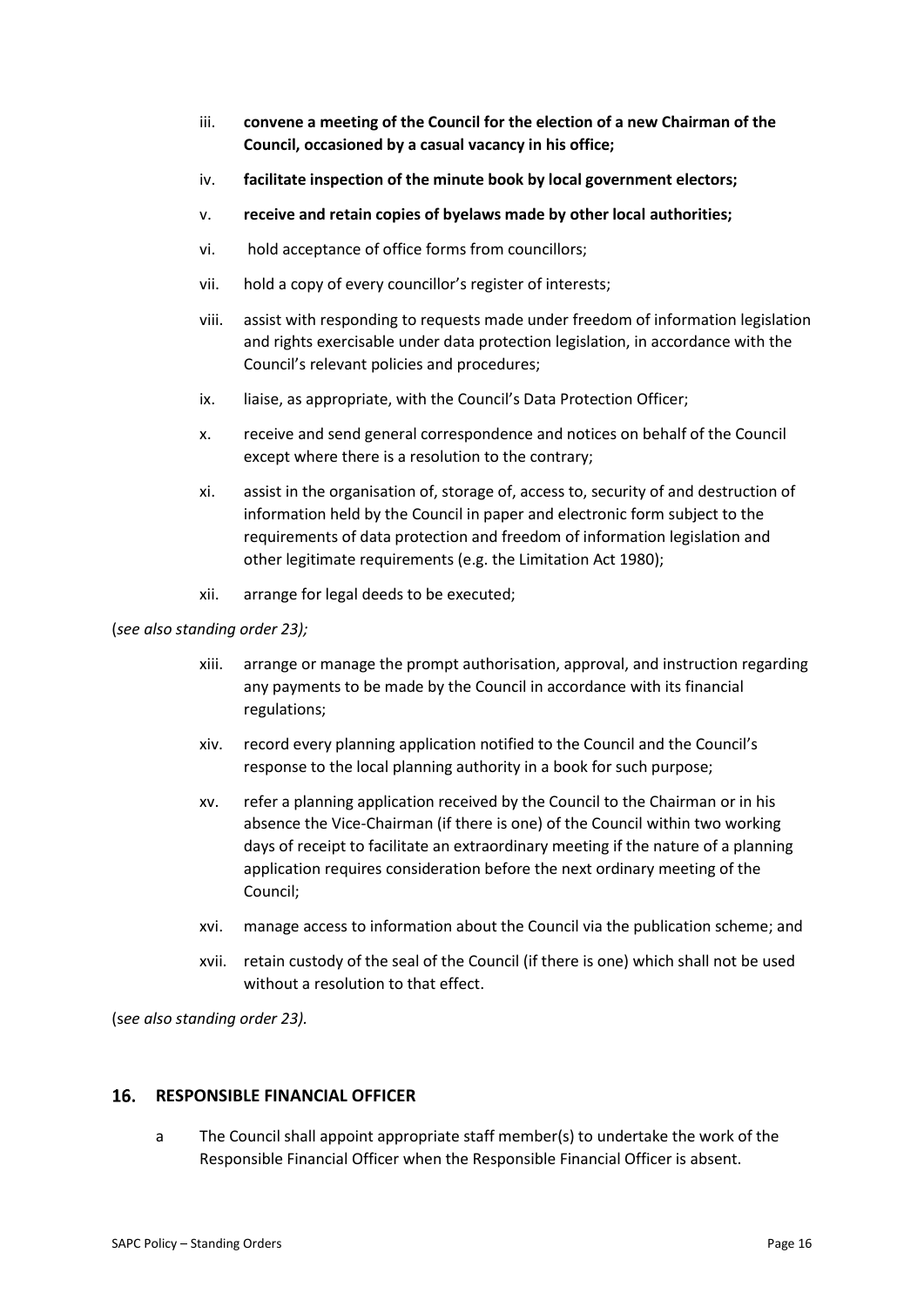- iii. **convene a meeting of the Council for the election of a new Chairman of the Council, occasioned by a casual vacancy in his office;**
- iv. **facilitate inspection of the minute book by local government electors;**
- v. **receive and retain copies of byelaws made by other local authorities;**
- vi. hold acceptance of office forms from councillors;
- vii. hold a copy of every councillor's register of interests;
- viii. assist with responding to requests made under freedom of information legislation and rights exercisable under data protection legislation, in accordance with the Council's relevant policies and procedures;
- ix. liaise, as appropriate, with the Council's Data Protection Officer;
- x. receive and send general correspondence and notices on behalf of the Council except where there is a resolution to the contrary;
- xi. assist in the organisation of, storage of, access to, security of and destruction of information held by the Council in paper and electronic form subject to the requirements of data protection and freedom of information legislation and other legitimate requirements (e.g. the Limitation Act 1980);
- xii. arrange for legal deeds to be executed;

### (*see also standing order 23);*

- xiii. arrange or manage the prompt authorisation, approval, and instruction regarding any payments to be made by the Council in accordance with its financial regulations;
- xiv. record every planning application notified to the Council and the Council's response to the local planning authority in a book for such purpose;
- xv. refer a planning application received by the Council to the Chairman or in his absence the Vice-Chairman (if there is one) of the Council within two working days of receipt to facilitate an extraordinary meeting if the nature of a planning application requires consideration before the next ordinary meeting of the Council;
- xvi. manage access to information about the Council via the publication scheme; and
- xvii. retain custody of the seal of the Council (if there is one) which shall not be used without a resolution to that effect.

(s*ee also standing order 23).*

#### 16. **RESPONSIBLE FINANCIAL OFFICER**

a The Council shall appoint appropriate staff member(s) to undertake the work of the Responsible Financial Officer when the Responsible Financial Officer is absent.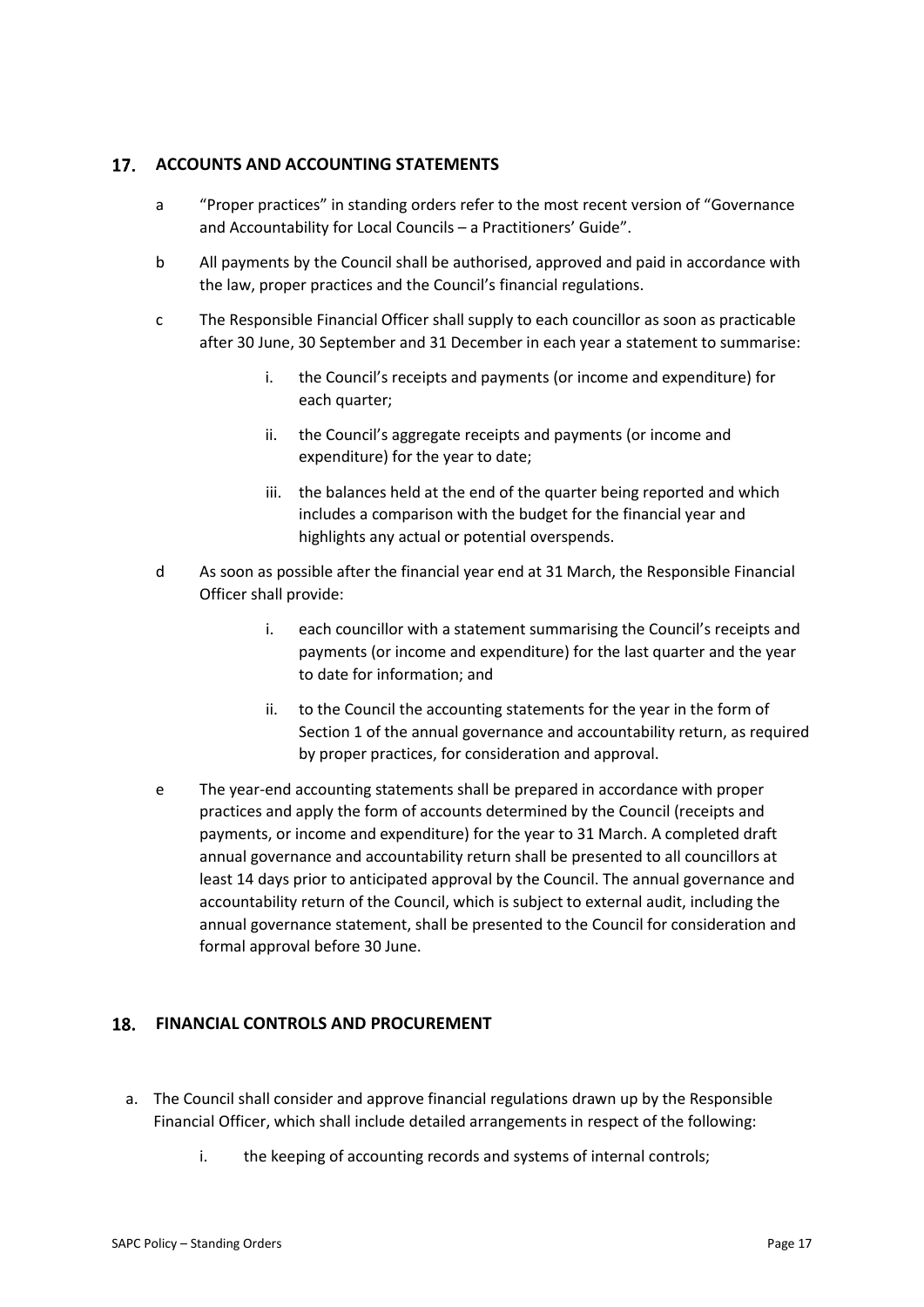### **ACCOUNTS AND ACCOUNTING STATEMENTS**

- a "Proper practices" in standing orders refer to the most recent version of "Governance and Accountability for Local Councils – a Practitioners' Guide".
- b All payments by the Council shall be authorised, approved and paid in accordance with the law, proper practices and the Council's financial regulations.
- c The Responsible Financial Officer shall supply to each councillor as soon as practicable after 30 June, 30 September and 31 December in each year a statement to summarise:
	- i. the Council's receipts and payments (or income and expenditure) for each quarter;
	- ii. the Council's aggregate receipts and payments (or income and expenditure) for the year to date;
	- iii. the balances held at the end of the quarter being reported and which includes a comparison with the budget for the financial year and highlights any actual or potential overspends.
- d As soon as possible after the financial year end at 31 March, the Responsible Financial Officer shall provide:
	- i. each councillor with a statement summarising the Council's receipts and payments (or income and expenditure) for the last quarter and the year to date for information; and
	- ii. to the Council the accounting statements for the year in the form of Section 1 of the annual governance and accountability return, as required by proper practices, for consideration and approval.
- e The year-end accounting statements shall be prepared in accordance with proper practices and apply the form of accounts determined by the Council (receipts and payments, or income and expenditure) for the year to 31 March. A completed draft annual governance and accountability return shall be presented to all councillors at least 14 days prior to anticipated approval by the Council. The annual governance and accountability return of the Council, which is subject to external audit, including the annual governance statement, shall be presented to the Council for consideration and formal approval before 30 June.

### **FINANCIAL CONTROLS AND PROCUREMENT**

- a. The Council shall consider and approve financial regulations drawn up by the Responsible Financial Officer, which shall include detailed arrangements in respect of the following:
	- i. the keeping of accounting records and systems of internal controls;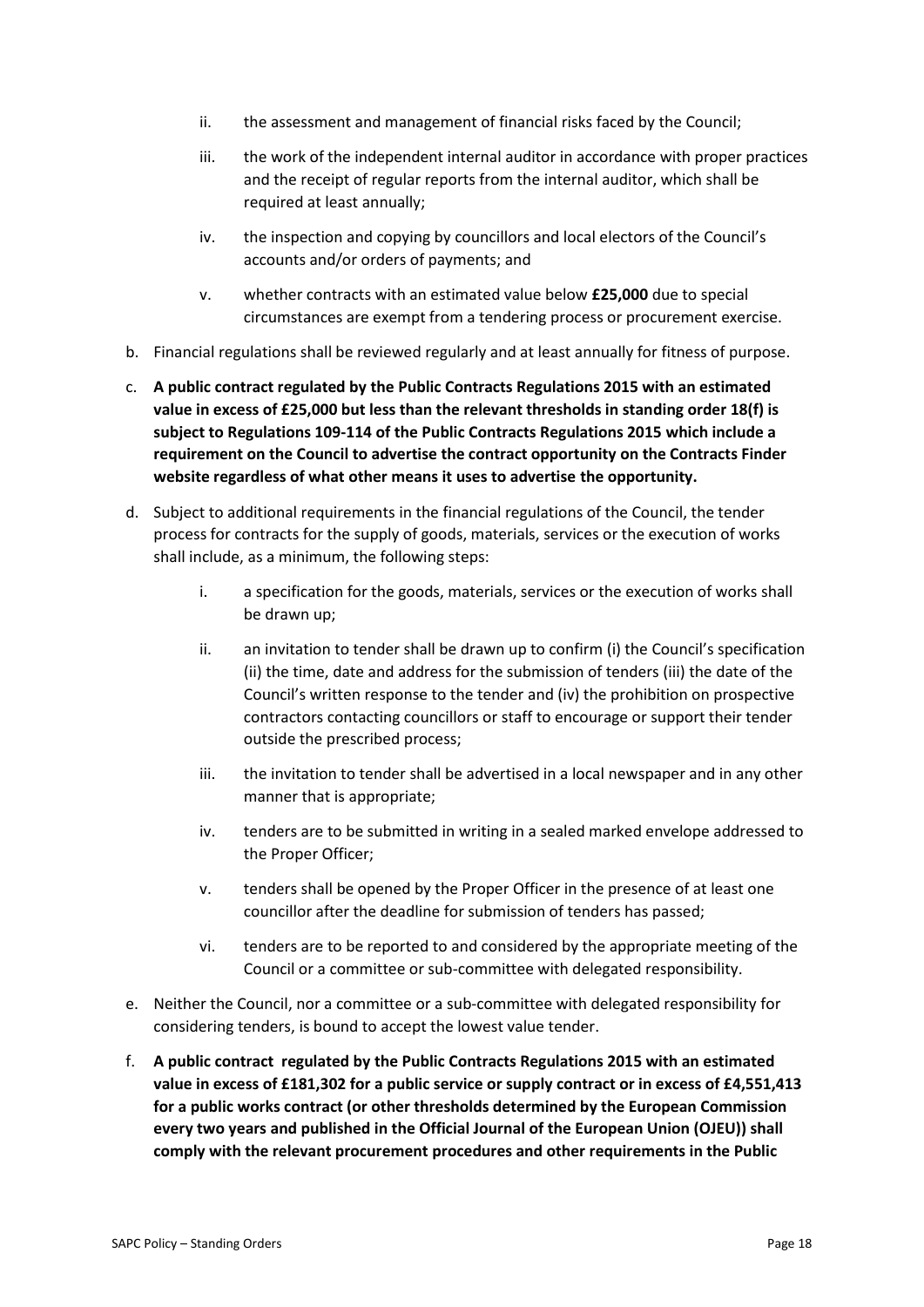- ii. the assessment and management of financial risks faced by the Council;
- iii. the work of the independent internal auditor in accordance with proper practices and the receipt of regular reports from the internal auditor, which shall be required at least annually;
- iv. the inspection and copying by councillors and local electors of the Council's accounts and/or orders of payments; and
- v. whether contracts with an estimated value below **£25,000** due to special circumstances are exempt from a tendering process or procurement exercise.
- b. Financial regulations shall be reviewed regularly and at least annually for fitness of purpose.
- c. **A public contract regulated by the Public Contracts Regulations 2015 with an estimated value in excess of £25,000 but less than the relevant thresholds in standing order 18(f) is subject to Regulations 109-114 of the Public Contracts Regulations 2015 which include a requirement on the Council to advertise the contract opportunity on the Contracts Finder website regardless of what other means it uses to advertise the opportunity.**
- d. Subject to additional requirements in the financial regulations of the Council, the tender process for contracts for the supply of goods, materials, services or the execution of works shall include, as a minimum, the following steps:
	- i. a specification for the goods, materials, services or the execution of works shall be drawn up;
	- ii. an invitation to tender shall be drawn up to confirm (i) the Council's specification (ii) the time, date and address for the submission of tenders (iii) the date of the Council's written response to the tender and (iv) the prohibition on prospective contractors contacting councillors or staff to encourage or support their tender outside the prescribed process;
	- iii. the invitation to tender shall be advertised in a local newspaper and in any other manner that is appropriate;
	- iv. tenders are to be submitted in writing in a sealed marked envelope addressed to the Proper Officer;
	- v. tenders shall be opened by the Proper Officer in the presence of at least one councillor after the deadline for submission of tenders has passed;
	- vi. tenders are to be reported to and considered by the appropriate meeting of the Council or a committee or sub-committee with delegated responsibility.
- e. Neither the Council, nor a committee or a sub-committee with delegated responsibility for considering tenders, is bound to accept the lowest value tender.
- f. **A public contract regulated by the Public Contracts Regulations 2015 with an estimated value in excess of £181,302 for a public service or supply contract or in excess of £4,551,413 for a public works contract (or other thresholds determined by the European Commission every two years and published in the Official Journal of the European Union (OJEU)) shall comply with the relevant procurement procedures and other requirements in the Public**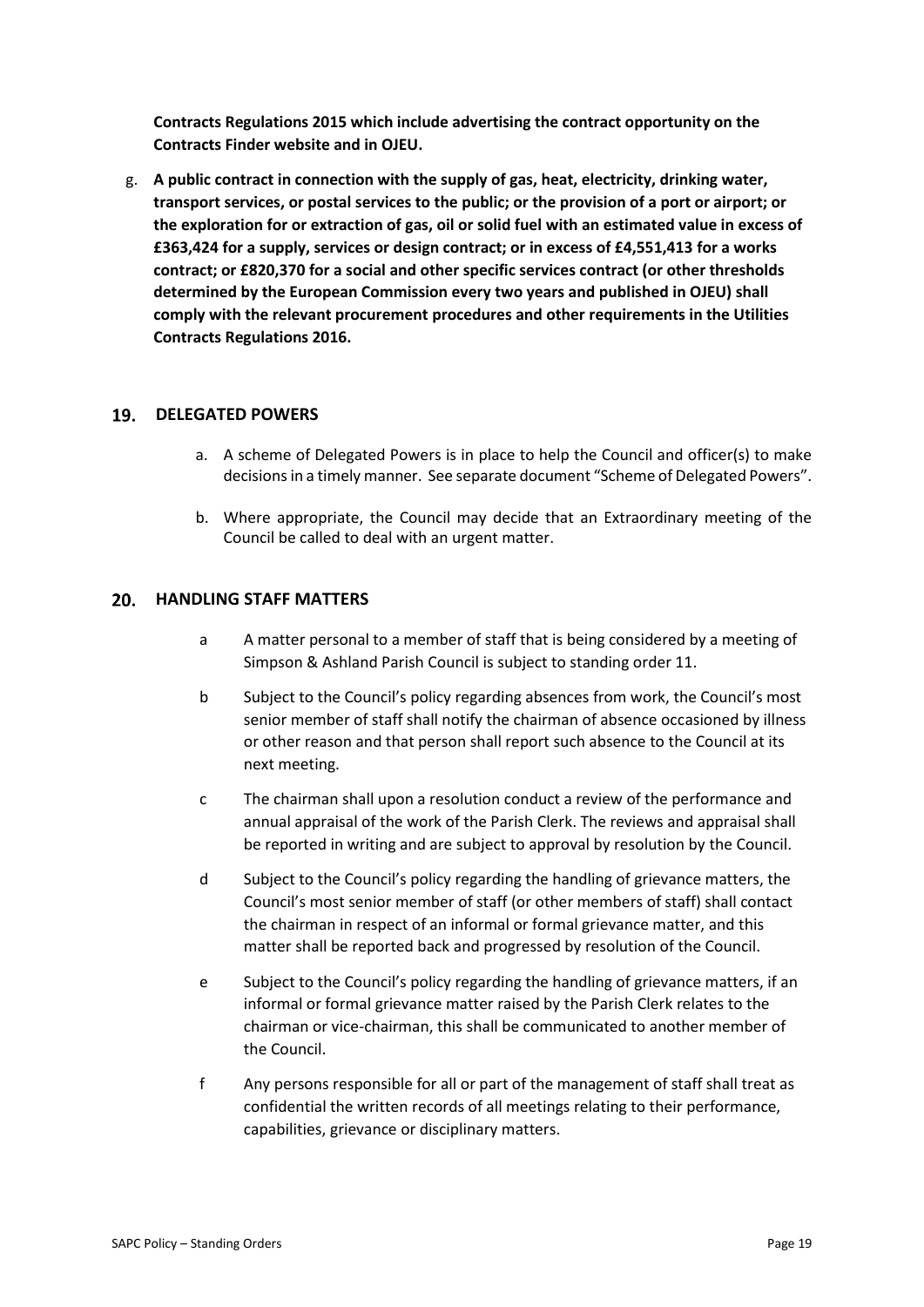**Contracts Regulations 2015 which include advertising the contract opportunity on the Contracts Finder website and in OJEU.**

g. **A public contract in connection with the supply of gas, heat, electricity, drinking water, transport services, or postal services to the public; or the provision of a port or airport; or the exploration for or extraction of gas, oil or solid fuel with an estimated value in excess of £363,424 for a supply, services or design contract; or in excess of £4,551,413 for a works contract; or £820,370 for a social and other specific services contract (or other thresholds determined by the European Commission every two years and published in OJEU) shall comply with the relevant procurement procedures and other requirements in the Utilities Contracts Regulations 2016.**

### 19. DELEGATED POWERS

- a. A scheme of Delegated Powers is in place to help the Council and officer(s) to make decisions in a timely manner. See separate document "Scheme of Delegated Powers".
- b. Where appropriate, the Council may decide that an Extraordinary meeting of the Council be called to deal with an urgent matter.

### **HANDLING STAFF MATTERS**

- a A matter personal to a member of staff that is being considered by a meeting of Simpson & Ashland Parish Council is subject to standing order 11.
- b Subject to the Council's policy regarding absences from work, the Council's most senior member of staff shall notify the chairman of absence occasioned by illness or other reason and that person shall report such absence to the Council at its next meeting.
- c The chairman shall upon a resolution conduct a review of the performance and annual appraisal of the work of the Parish Clerk. The reviews and appraisal shall be reported in writing and are subject to approval by resolution by the Council.
- d Subject to the Council's policy regarding the handling of grievance matters, the Council's most senior member of staff (or other members of staff) shall contact the chairman in respect of an informal or formal grievance matter, and this matter shall be reported back and progressed by resolution of the Council.
- e Subject to the Council's policy regarding the handling of grievance matters, if an informal or formal grievance matter raised by the Parish Clerk relates to the chairman or vice-chairman, this shall be communicated to another member of the Council.
- f Any persons responsible for all or part of the management of staff shall treat as confidential the written records of all meetings relating to their performance, capabilities, grievance or disciplinary matters.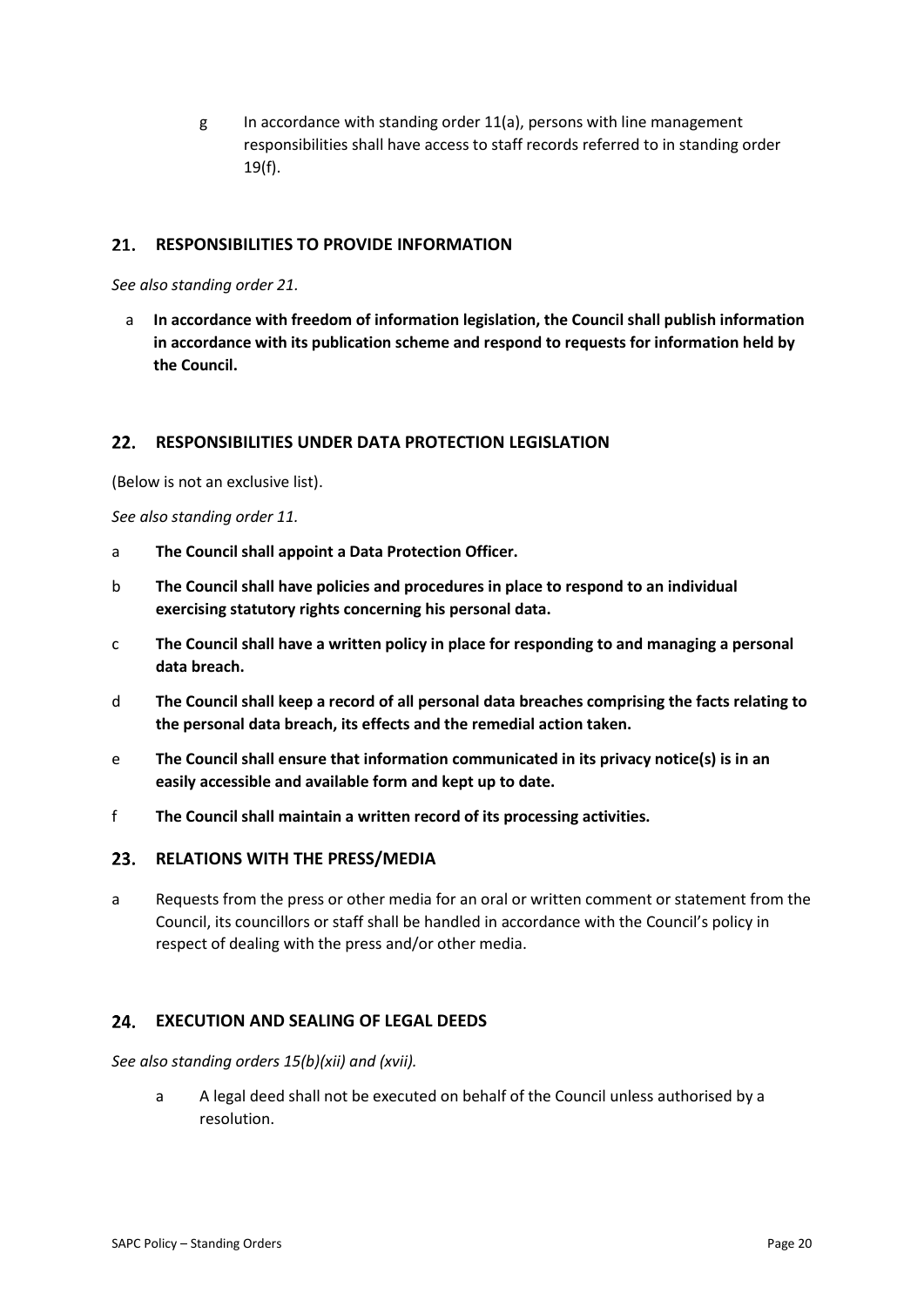g In accordance with standing order 11(a), persons with line management responsibilities shall have access to staff records referred to in standing order 19(f).

#### $21.$ **RESPONSIBILITIES TO PROVIDE INFORMATION**

*See also standing order 21.*

a **In accordance with freedom of information legislation, the Council shall publish information in accordance with its publication scheme and respond to requests for information held by the Council.** 

#### $22.$ **RESPONSIBILITIES UNDER DATA PROTECTION LEGISLATION**

(Below is not an exclusive list).

*See also standing order 11.*

- a **The Council shall appoint a Data Protection Officer.**
- b **The Council shall have policies and procedures in place to respond to an individual exercising statutory rights concerning his personal data.**
- c **The Council shall have a written policy in place for responding to and managing a personal data breach.**
- d **The Council shall keep a record of all personal data breaches comprising the facts relating to the personal data breach, its effects and the remedial action taken.**
- e **The Council shall ensure that information communicated in its privacy notice(s) is in an easily accessible and available form and kept up to date.**
- f **The Council shall maintain a written record of its processing activities.**

#### $23.$ **RELATIONS WITH THE PRESS/MEDIA**

a Requests from the press or other media for an oral or written comment or statement from the Council, its councillors or staff shall be handled in accordance with the Council's policy in respect of dealing with the press and/or other media.

#### $24.$ **EXECUTION AND SEALING OF LEGAL DEEDS**

*See also standing orders 15(b)(xii) and (xvii).*

a A legal deed shall not be executed on behalf of the Council unless authorised by a resolution.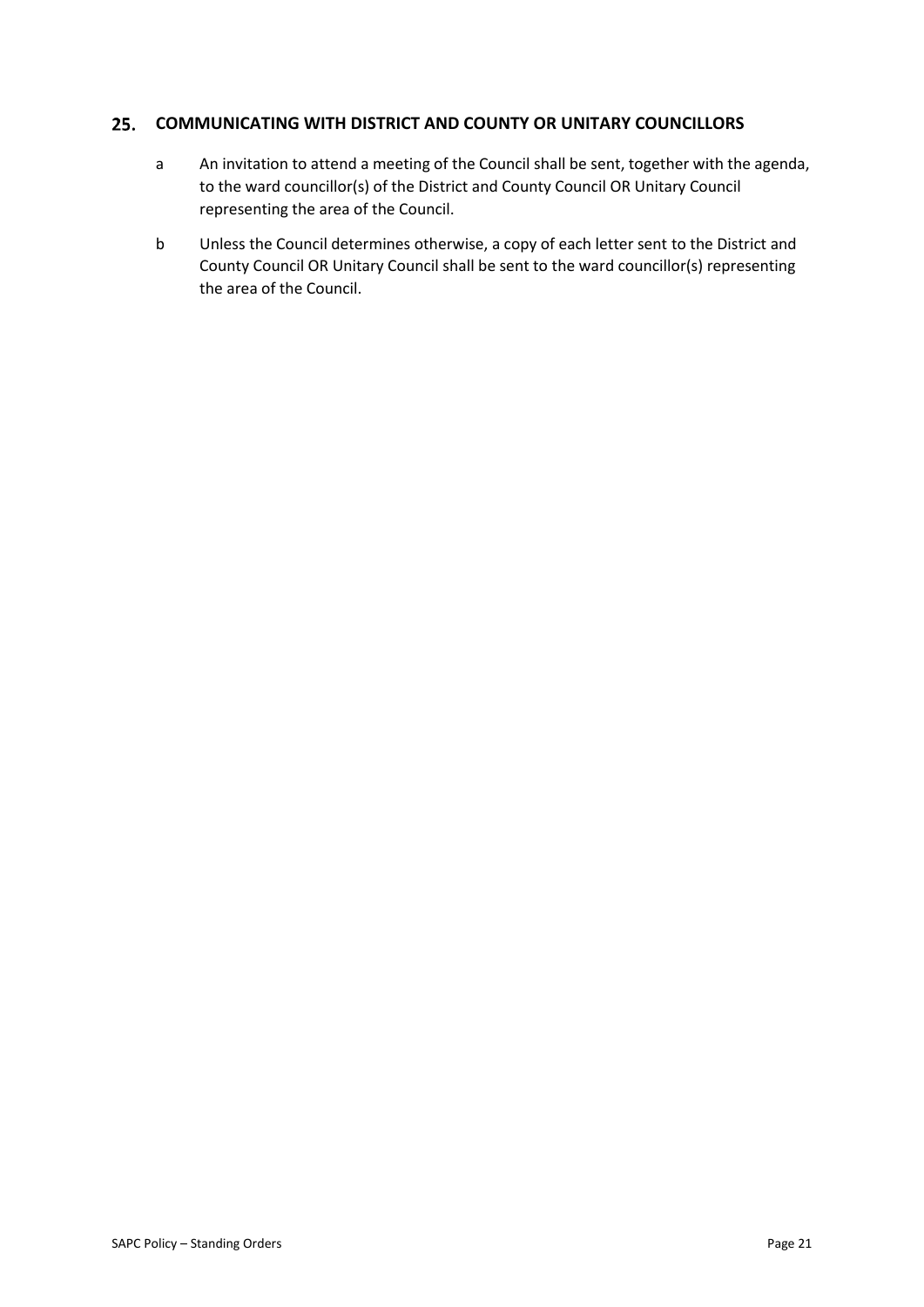#### $25.$ **COMMUNICATING WITH DISTRICT AND COUNTY OR UNITARY COUNCILLORS**

- a An invitation to attend a meeting of the Council shall be sent, together with the agenda, to the ward councillor(s) of the District and County Council OR Unitary Council representing the area of the Council.
- b Unless the Council determines otherwise, a copy of each letter sent to the District and County Council OR Unitary Council shall be sent to the ward councillor(s) representing the area of the Council.